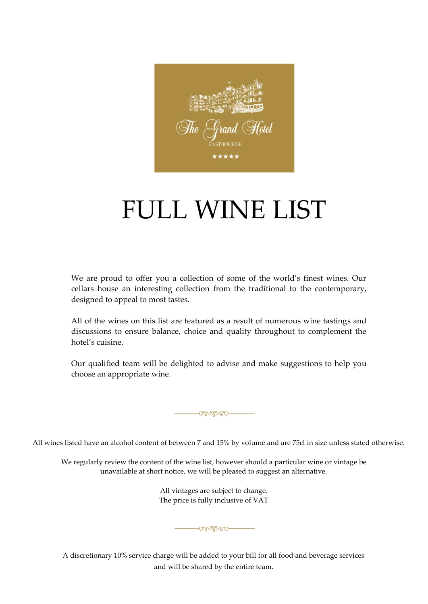rand ( \*\*\*\*\*

# FULL WINE LIST

We are proud to offer you a collection of some of the world's finest wines. Our cellars house an interesting collection from the traditional to the contemporary, designed to appeal to most tastes.

All of the wines on this list are featured as a result of numerous wine tastings and discussions to ensure balance, choice and quality throughout to complement the hotel's cuisine.

Our qualified team will be delighted to advise and make suggestions to help you choose an appropriate wine.

All wines listed have an alcohol content of between 7 and 15% by volume and are 75cl in size unless stated otherwise.

 $-0.50000$ 

We regularly review the content of the wine list, however should a particular wine or vintage be unavailable at short notice, we will be pleased to suggest an alternative.

> All vintages are subject to change. The price is fully inclusive of VAT

> > $\begin{picture}(180,10) \put(0,0){\line(1,0){10}} \put(10,0){\line(1,0){10}} \put(10,0){\line(1,0){10}} \put(10,0){\line(1,0){10}} \put(10,0){\line(1,0){10}} \put(10,0){\line(1,0){10}} \put(10,0){\line(1,0){10}} \put(10,0){\line(1,0){10}} \put(10,0){\line(1,0){10}} \put(10,0){\line(1,0){10}} \put(10,0){\line(1,0){10}} \put(10,0){\line($

A discretionary 10% service charge will be added to your bill for all food and beverage services and will be shared by the entire team.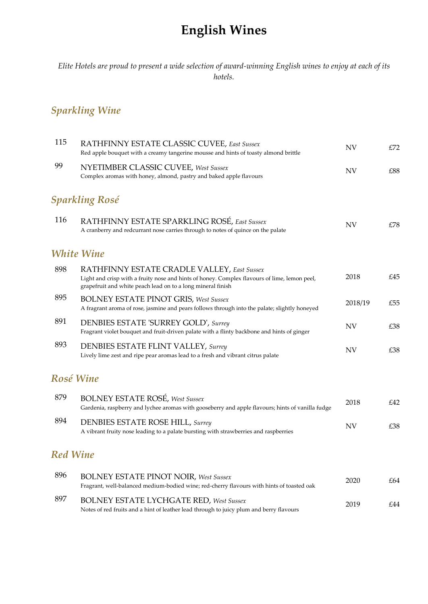# **English Wines**

*Elite Hotels are proud to present a wide selection of award-winning English wines to enjoy at each of its hotels.*

# *Sparkling Wine*

| 115             | RATHFINNY ESTATE CLASSIC CUVEE, East Sussex<br>Red apple bouquet with a creamy tangerine mousse and hints of toasty almond brittle                                                                         | <b>NV</b> | £72 |
|-----------------|------------------------------------------------------------------------------------------------------------------------------------------------------------------------------------------------------------|-----------|-----|
| 99              | NYETIMBER CLASSIC CUVEE, West Sussex<br>Complex aromas with honey, almond, pastry and baked apple flavours                                                                                                 | NV        | £88 |
|                 | <b>Sparkling Rosé</b>                                                                                                                                                                                      |           |     |
| 116             | RATHFINNY ESTATE SPARKLING ROSÉ, East Sussex<br>A cranberry and redcurrant nose carries through to notes of quince on the palate                                                                           | NV        | £78 |
|                 | White Wine                                                                                                                                                                                                 |           |     |
| 898             | RATHFINNY ESTATE CRADLE VALLEY, East Sussex<br>Light and crisp with a fruity nose and hints of honey. Complex flavours of lime, lemon peel,<br>grapefruit and white peach lead on to a long mineral finish | 2018      | £45 |
| 895             | <b>BOLNEY ESTATE PINOT GRIS, West Sussex</b><br>A fragrant aroma of rose, jasmine and pears follows through into the palate; slightly honeyed                                                              | 2018/19   | £55 |
| 891             | <b>DENBIES ESTATE 'SURREY GOLD', Surrey</b><br>Fragrant violet bouquet and fruit-driven palate with a flinty backbone and hints of ginger                                                                  | NV        | £38 |
| 893             | <b>DENBIES ESTATE FLINT VALLEY, Surrey</b><br>Lively lime zest and ripe pear aromas lead to a fresh and vibrant citrus palate                                                                              | NV        | £38 |
|                 | <b>Rosé Wine</b>                                                                                                                                                                                           |           |     |
| 879             | <b>BOLNEY ESTATE ROSÉ, West Sussex</b><br>Gardenia, raspberry and lychee aromas with gooseberry and apple flavours; hints of vanilla fudge                                                                 | 2018      | £42 |
| 894             | <b>DENBIES ESTATE ROSE HILL, Surrey</b><br>A vibrant fruity nose leading to a palate bursting with strawberries and raspberries                                                                            | NV        | £38 |
| <b>Red Wine</b> |                                                                                                                                                                                                            |           |     |
| 896             | <b>BOLNEY ESTATE PINOT NOIR, West Sussex</b><br>Fragrant, well-balanced medium-bodied wine; red-cherry flavours with hints of toasted oak                                                                  | 2020      | £64 |
| 897             | <b>BOLNEY ESTATE LYCHGATE RED, West Sussex</b><br>Notes of red fruits and a hint of leather lead through to juicy plum and berry flavours                                                                  | 2019      | £44 |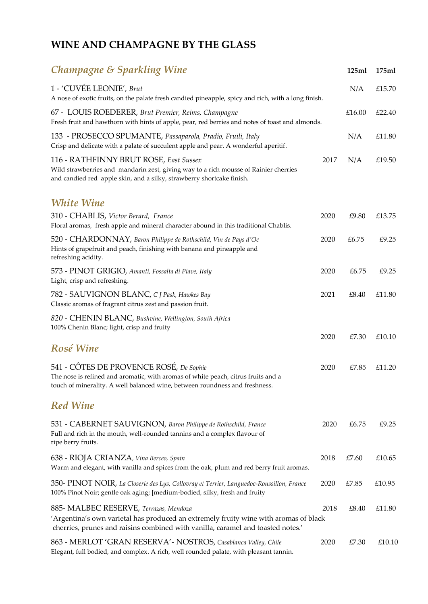### **WINE AND CHAMPAGNE BY THE GLASS**

| <b>Champagne &amp; Sparkling Wine</b>                                                                                                                                                                             |      | 125ml  | 175ml  |
|-------------------------------------------------------------------------------------------------------------------------------------------------------------------------------------------------------------------|------|--------|--------|
| 1 - 'CUVÉE LEONIE', Brut<br>A nose of exotic fruits, on the palate fresh candied pineapple, spicy and rich, with a long finish.                                                                                   |      | N/A    | £15.70 |
| 67 - LOUIS ROEDERER, Brut Premier, Reims, Champagne<br>Fresh fruit and hawthorn with hints of apple, pear, red berries and notes of toast and almonds.                                                            |      | £16.00 | £22.40 |
| 133 - PROSECCO SPUMANTE, Passaparola, Pradio, Fruili, Italy<br>Crisp and delicate with a palate of succulent apple and pear. A wonderful aperitif.                                                                |      | N/A    | £11.80 |
| 116 - RATHFINNY BRUT ROSE, East Sussex<br>Wild strawberries and mandarin zest, giving way to a rich mousse of Rainier cherries<br>and candied red apple skin, and a silky, strawberry shortcake finish.           | 2017 | N/A    | £19.50 |
| <b>White Wine</b>                                                                                                                                                                                                 |      |        |        |
| 310 - CHABLIS, Victor Berard, France<br>Floral aromas, fresh apple and mineral character abound in this traditional Chablis.                                                                                      | 2020 | £9.80  | £13.75 |
| 520 - CHARDONNAY, Baron Philippe de Rothschild, Vin de Pays d'Oc<br>Hints of grapefruit and peach, finishing with banana and pineapple and<br>refreshing acidity.                                                 | 2020 | £6.75  | £9.25  |
| 573 - PINOT GRIGIO, Amanti, Fossalta di Piave, Italy<br>Light, crisp and refreshing.                                                                                                                              | 2020 | £6.75  | £9.25  |
| 782 - SAUVIGNON BLANC, C J Pask, Hawkes Bay<br>Classic aromas of fragrant citrus zest and passion fruit.                                                                                                          | 2021 | £8.40  | £11.80 |
| 820 - CHENIN BLANC, Bushvine, Wellington, South Africa<br>100% Chenin Blanc; light, crisp and fruity                                                                                                              |      |        |        |
| <b>Rosé Wine</b>                                                                                                                                                                                                  | 2020 | £7.30  | £10.10 |
| 541 - CÔTES DE PROVENCE ROSÉ, De Sophie<br>The nose is refined and aromatic, with aromas of white peach, citrus fruits and a<br>touch of minerality. A well balanced wine, between roundness and freshness.       | 2020 | £7.85  | £11.20 |
| <b>Red Wine</b>                                                                                                                                                                                                   |      |        |        |
| 531 - CABERNET SAUVIGNON, Baron Philippe de Rothschild, France<br>Full and rich in the mouth, well-rounded tannins and a complex flavour of<br>ripe berry fruits.                                                 | 2020 | £6.75  | £9.25  |
| 638 - RIOJA CRIANZA, Vina Berceo, Spain<br>Warm and elegant, with vanilla and spices from the oak, plum and red berry fruit aromas.                                                                               | 2018 | £7.60  | £10.65 |
| 350- PINOT NOIR, La Closerie des Lys, Collovray et Terrier, Languedoc-Roussillon, France<br>100% Pinot Noir; gentle oak aging; [medium-bodied, silky, fresh and fruity                                            | 2020 | £7.85  | £10.95 |
| 885- MALBEC RESERVE, Terrazas, Mendoza<br>'Argentina's own varietal has produced an extremely fruity wine with aromas of black<br>cherries, prunes and raisins combined with vanilla, caramel and toasted notes.' | 2018 | £8.40  | £11.80 |
| 863 - MERLOT 'GRAN RESERVA' - NOSTROS, Casablanca Valley, Chile<br>Elegant, full bodied, and complex. A rich, well rounded palate, with pleasant tannin.                                                          | 2020 | £7.30  | £10.10 |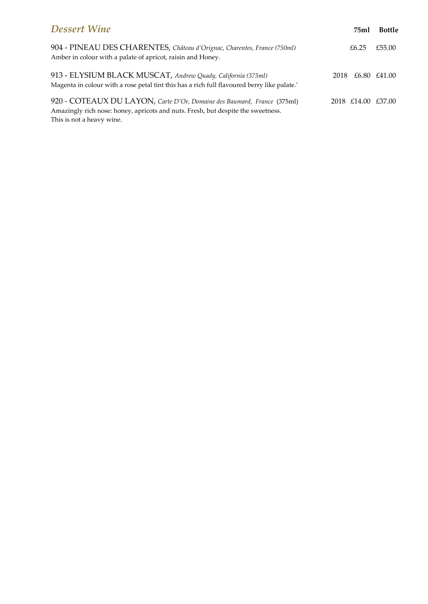# *Dessert Wine* **75ml Bottle** 904 - PINEAU DES CHARENTES, *Château d'Orignac, Charentes, France (750ml)* £6.25 £55.00 Amber in colour with a palate of apricot, raisin and Honey. 913 - ELYSIUM BLACK MUSCAT, *Andrew Quady, California (375ml)* 2018 £6.80 £41.00 Magenta in colour with a rose petal tint this has a rich full flavoured berry like palate.' 920 *-* COTEAUX DU LAYON, *Carte D'Or*, *Domaine des Baumard, France* (375ml) 2018 £14.00 £37.00 Amazingly rich nose: honey, apricots and nuts. Fresh, but despite the sweetness.

This is not a heavy wine.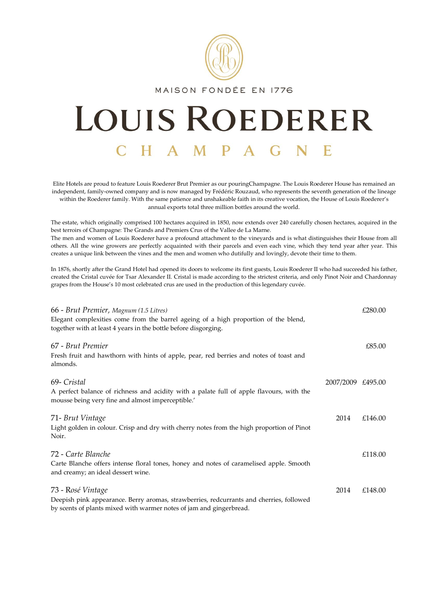

#### MAISON FONDÉE EN 1776

# LOUIS ROEDERER A G N H A M E

Elite Hotels are proud to feature Louis Roederer Brut Premier as our pouringChampagne. The Louis Roederer House has remained an independent, family-owned company and is now managed by Frédéric Rouzaud, who represents the seventh generation of the lineage within the Roederer family. With the same patience and unshakeable faith in its creative vocation, the House of Louis Roederer's annual exports total three million bottles around the world.

The estate, which originally comprised 100 hectares acquired in 1850, now extends over 240 carefully chosen hectares, acquired in the best terroirs of Champagne: The Grands and Premiers Crus of the Vallee de La Marne. The men and women of Louis Roederer have a profound attachment to the vineyards and is what distinguishes their House from all

others. All the wine growers are perfectly acquainted with their parcels and even each vine, which they tend year after year. This creates a unique link between the vines and the men and women who dutifully and lovingly, devote their time to them.

In 1876, shortly after the Grand Hotel had opened its doors to welcome its first guests, Louis Roederer II who had succeeded his father, created the Cristal cuvée for Tsar Alexander II. Cristal is made according to the strictest criteria, and only Pinot Noir and Chardonnay grapes from the House's 10 most celebrated crus are used in the production of this legendary cuvée.

| 66 - Brut Premier, Magnum (1.5 Litres)                                                                                                        |                   | £280.00 |
|-----------------------------------------------------------------------------------------------------------------------------------------------|-------------------|---------|
| Elegant complexities come from the barrel ageing of a high proportion of the blend,                                                           |                   |         |
| together with at least 4 years in the bottle before disgorging.                                                                               |                   |         |
| 67 - Brut Premier                                                                                                                             |                   | £85.00  |
| Fresh fruit and hawthorn with hints of apple, pear, red berries and notes of toast and<br>almonds.                                            |                   |         |
| 69- Cristal                                                                                                                                   | 2007/2009 £495.00 |         |
| A perfect balance of richness and acidity with a palate full of apple flavours, with the<br>mousse being very fine and almost imperceptible.' |                   |         |
| 71- Brut Vintage                                                                                                                              | 2014              | £146.00 |
| Light golden in colour. Crisp and dry with cherry notes from the high proportion of Pinot<br>Noir.                                            |                   |         |
| 72 - Carte Blanche                                                                                                                            |                   | £118.00 |
| Carte Blanche offers intense floral tones, honey and notes of caramelised apple. Smooth<br>and creamy; an ideal dessert wine.                 |                   |         |
| 73 - Rosé Vintage                                                                                                                             | 2014              | £148.00 |
| Deepish pink appearance. Berry aromas, strawberries, redcurrants and cherries, followed                                                       |                   |         |
| by scents of plants mixed with warmer notes of jam and gingerbread.                                                                           |                   |         |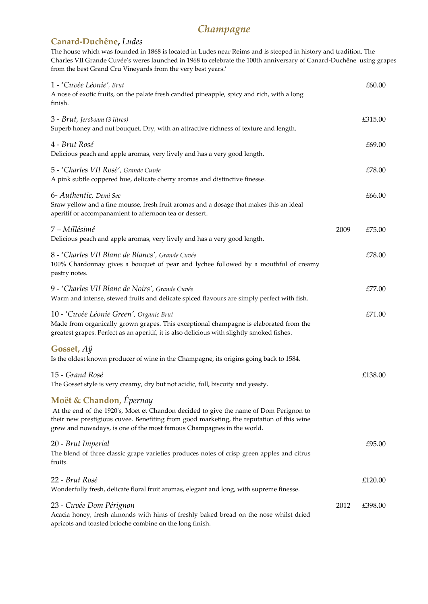### *Champagne*

### **Canard-Duchêne,** *Ludes*

The house which was founded in 1868 is located in Ludes near Reims and is steeped in history and tradition. The Charles VII Grande Cuvée's weres launched in 1968 to celebrate the 100th anniversary of Canard-Duchêne using grapes from the best Grand Cru Vineyards from the very best years.'

| 1 - 'Cuvée Léonie', Brut<br>A nose of exotic fruits, on the palate fresh candied pineapple, spicy and rich, with a long<br>finish.                                                                                                                                                    |      | £60.00  |
|---------------------------------------------------------------------------------------------------------------------------------------------------------------------------------------------------------------------------------------------------------------------------------------|------|---------|
| 3 - Brut, Jeroboam (3 litres)<br>Superb honey and nut bouquet. Dry, with an attractive richness of texture and length.                                                                                                                                                                |      | £315.00 |
| 4 - Brut Rosé<br>Delicious peach and apple aromas, very lively and has a very good length.                                                                                                                                                                                            |      | £69.00  |
| 5 - 'Charles VII Rosé', Grande Cuvée<br>A pink subtle coppered hue, delicate cherry aromas and distinctive finesse.                                                                                                                                                                   |      | £78.00  |
| 6- Authentic, Demi Sec<br>Sraw yellow and a fine mousse, fresh fruit aromas and a dosage that makes this an ideal<br>aperitif or accompanamient to afternoon tea or dessert.                                                                                                          |      | £66.00  |
| 7 – Millésimé<br>Delicious peach and apple aromas, very lively and has a very good length.                                                                                                                                                                                            | 2009 | £75.00  |
| 8 - 'Charles VII Blanc de Blancs', Grande Cuvée<br>100% Chardonnay gives a bouquet of pear and lychee followed by a mouthful of creamy<br>pastry notes.                                                                                                                               |      | £78.00  |
| 9 - 'Charles VII Blanc de Noirs', Grande Cuvée<br>Warm and intense, stewed fruits and delicate spiced flavours are simply perfect with fish.                                                                                                                                          |      | £77.00  |
| 10 - 'Cuvée Léonie Green', Organic Brut<br>Made from organically grown grapes. This exceptional champagne is elaborated from the<br>greatest grapes. Perfect as an aperitif, it is also delicious with slightly smoked fishes.                                                        |      | £71.00  |
| Gosset, Aÿ<br>Is the oldest known producer of wine in the Champagne, its origins going back to 1584.                                                                                                                                                                                  |      |         |
| 15 - Grand Rosé<br>The Gosset style is very creamy, dry but not acidic, full, biscuity and yeasty.                                                                                                                                                                                    |      | £138.00 |
| Moët & Chandon, Épernay<br>At the end of the 1920's, Moet et Chandon decided to give the name of Dom Perignon to<br>their new prestigious cuvee. Benefiting from good marketing, the reputation of this wine<br>grew and nowadays, is one of the most famous Champagnes in the world. |      |         |
| 20 - Brut Imperial<br>The blend of three classic grape varieties produces notes of crisp green apples and citrus<br>fruits.                                                                                                                                                           |      | £95.00  |
| 22 - Brut Rosé<br>Wonderfully fresh, delicate floral fruit aromas, elegant and long, with supreme finesse.                                                                                                                                                                            |      | £120.00 |
| 23 - Cuvée Dom Pérignon<br>Acacia honey, fresh almonds with hints of freshly baked bread on the nose whilst dried<br>apricots and toasted brioche combine on the long finish.                                                                                                         | 2012 | £398.00 |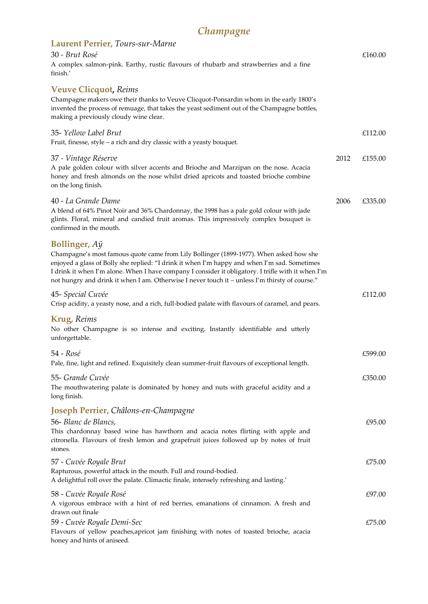# *Champagne*

| Laurent Perrier, Tours-sur-Marne<br>30 - Brut Rosé<br>A complex salmon-pink. Earthy, rustic flavours of rhubarb and strawberries and a fine<br>finish.'                                                                                                                                                                                                                                                                 |      | £160.00 |
|-------------------------------------------------------------------------------------------------------------------------------------------------------------------------------------------------------------------------------------------------------------------------------------------------------------------------------------------------------------------------------------------------------------------------|------|---------|
| <b>Veuve Clicquot, Reims</b><br>Champagne makers owe their thanks to Veuve Clicquot-Ponsardin whom in the early 1800's<br>invented the process of remuage, that takes the yeast sediment out of the Champagne bottles,<br>making a previously cloudy wine clear.                                                                                                                                                        |      |         |
| 35- Yellow Label Brut<br>Fruit, finesse, style - a rich and dry classic with a yeasty bouquet.                                                                                                                                                                                                                                                                                                                          |      | £112.00 |
| 37 - Vintage Réserve<br>A pale golden colour with silver accents and Brioche and Marzipan on the nose. Acacia<br>honey and fresh almonds on the nose whilst dried apricots and toasted brioche combine<br>on the long finish.                                                                                                                                                                                           | 2012 | £155.00 |
| 40 - La Grande Dame<br>A blend of 64% Pinot Noir and 36% Chardonnay, the 1998 has a pale gold colour with jade<br>glints. Floral, mineral and candied fruit aromas. This impressively complex bouquet is<br>confirmed in the mouth.                                                                                                                                                                                     | 2006 | £335.00 |
| <b>Bollinger</b> , Aÿ<br>Champagne's most famous quote came from Lily Bollinger (1899-1977). When asked how she<br>enjoyed a glass of Bolly she replied: "I drink it when I'm happy and when I'm sad. Sometimes<br>I drink it when I'm alone. When I have company I consider it obligatory. I trifle with it when I'm<br>not hungry and drink it when I am. Otherwise I never touch it - unless I'm thirsty of course." |      |         |
| 45- Special Cuvée<br>Crisp acidity, a yeasty nose, and a rich, full-bodied palate with flavours of caramel, and pears.                                                                                                                                                                                                                                                                                                  |      | £112.00 |
| <b>Krug</b> , Reims<br>No other Champagne is so intense and exciting. Instantly identifiable and utterly<br>unforgettable.                                                                                                                                                                                                                                                                                              |      |         |
| 54 - Rosé<br>Pale, fine, light and refined. Exquisitely clean summer-fruit flavours of exceptional length.                                                                                                                                                                                                                                                                                                              |      | £599.00 |
| 55- Grande Cuvée<br>The mouthwatering palate is dominated by honey and nuts with graceful acidity and a<br>long finish.                                                                                                                                                                                                                                                                                                 |      | £350.00 |
| Joseph Perrier, Châlons-en-Champagne<br>56- Blanc de Blancs,<br>This chardonnay based wine has hawthorn and acacia notes flirting with apple and<br>citronella. Flavours of fresh lemon and grapefruit juices followed up by notes of fruit<br>stones.                                                                                                                                                                  |      | £95.00  |
| 57 - Cuvée Royale Brut<br>Rapturous, powerful attack in the mouth. Full and round-bodied.<br>A delightful roll over the palate. Climactic finale, intensely refreshing and lasting.'                                                                                                                                                                                                                                    |      | £75.00  |
| 58 - Cuvée Royale Rosé<br>A vigorous embrace with a hint of red berries, emanations of cinnamon. A fresh and                                                                                                                                                                                                                                                                                                            |      | £97.00  |
| drawn out finale<br>59 - Cuvée Royale Demi-Sec<br>Flavours of yellow peaches, apricot jam finishing with notes of toasted brioche, acacia<br>honey and hints of aniseed.                                                                                                                                                                                                                                                |      | £75.00  |
|                                                                                                                                                                                                                                                                                                                                                                                                                         |      |         |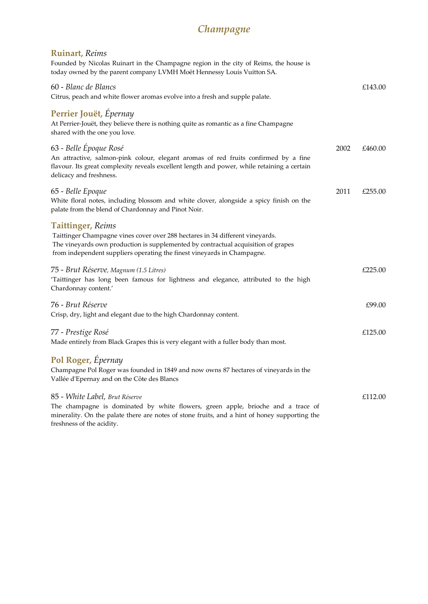# *Champagne*

| Ruinart, Reims                                                                                                                                                                                                                                                     |      |         |
|--------------------------------------------------------------------------------------------------------------------------------------------------------------------------------------------------------------------------------------------------------------------|------|---------|
| Founded by Nicolas Ruinart in the Champagne region in the city of Reims, the house is<br>today owned by the parent company LVMH Moët Hennessy Louis Vuitton SA.                                                                                                    |      |         |
| 60 - Blanc de Blancs<br>Citrus, peach and white flower aromas evolve into a fresh and supple palate.                                                                                                                                                               |      | £143.00 |
| Perrier Jouët, Epernay<br>At Perrier-Jouët, they believe there is nothing quite as romantic as a fine Champagne<br>shared with the one you love.                                                                                                                   |      |         |
| 63 - Belle Époque Rosé<br>An attractive, salmon-pink colour, elegant aromas of red fruits confirmed by a fine<br>flavour. Its great complexity reveals excellent length and power, while retaining a certain<br>delicacy and freshness.                            | 2002 | £460.00 |
| 65 - Belle Epoque<br>White floral notes, including blossom and white clover, alongside a spicy finish on the<br>palate from the blend of Chardonnay and Pinot Noir.                                                                                                | 2011 | £255.00 |
| Taittinger, Reims<br>Taittinger Champagne vines cover over 288 hectares in 34 different vineyards.<br>The vineyards own production is supplemented by contractual acquisition of grapes<br>from independent suppliers operating the finest vineyards in Champagne. |      |         |
| 75 - Brut Réserve, Magnum (1.5 Litres)<br>'Taittinger has long been famous for lightness and elegance, attributed to the high<br>Chardonnay content.'                                                                                                              |      | £225.00 |
| 76 - Brut Réserve<br>Crisp, dry, light and elegant due to the high Chardonnay content.                                                                                                                                                                             |      | £99.00  |
| 77 - Prestige Rosé<br>Made entirely from Black Grapes this is very elegant with a fuller body than most.                                                                                                                                                           |      | £125.00 |
| Pol Roger, Epernay<br>Champagne Pol Roger was founded in 1849 and now owns 87 hectares of vineyards in the<br>Vallée d'Epernay and on the Côte des Blancs                                                                                                          |      |         |
| 85 - White Label, Brut Réserve<br>The champagne is dominated by white flowers, green apple, brioche and a trace of<br>minerality. On the palate there are notes of stone fruits, and a hint of honey supporting the<br>freshness of the acidity.                   |      | £112.00 |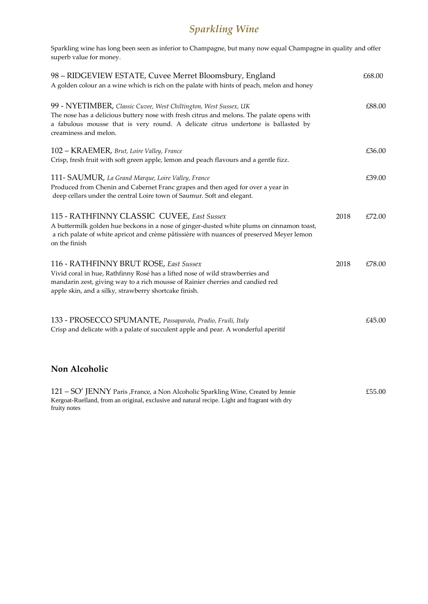# *Sparkling Wine*

Sparkling wine has long been seen as inferior to Champagne, but many now equal Champagne in quality and offer superb value for money.

| 98 - RIDGEVIEW ESTATE, Cuvee Merret Bloomsbury, England<br>A golden colour an a wine which is rich on the palate with hints of peach, melon and honey                                                                                                                       |      | £68.00 |
|-----------------------------------------------------------------------------------------------------------------------------------------------------------------------------------------------------------------------------------------------------------------------------|------|--------|
| 99 - NYETIMBER, Classic Cuvee, West Chiltington, West Sussex, UK<br>The nose has a delicious buttery nose with fresh citrus and melons. The palate opens with<br>a fabulous mousse that is very round. A delicate citrus undertone is ballasted by<br>creaminess and melon. |      | £88.00 |
| 102 – KRAEMER, Brut, Loire Valley, France<br>Crisp, fresh fruit with soft green apple, lemon and peach flavours and a gentle fizz.                                                                                                                                          |      | £36.00 |
| 111- SAUMUR, La Grand Marque, Loire Valley, France<br>Produced from Chenin and Cabernet Franc grapes and then aged for over a year in<br>deep cellars under the central Loire town of Saumur. Soft and elegant.                                                             |      | £39.00 |
| 115 - RATHFINNY CLASSIC CUVEE, East Sussex<br>A buttermilk golden hue beckons in a nose of ginger-dusted white plums on cinnamon toast,<br>a rich palate of white apricot and crème pâtissière with nuances of preserved Meyer lemon<br>on the finish                       | 2018 | £72.00 |
| 116 - RATHFINNY BRUT ROSE, East Sussex<br>Vivid coral in hue, Rathfinny Rosé has a lifted nose of wild strawberries and<br>mandarin zest, giving way to a rich mousse of Rainier cherries and candied red<br>apple skin, and a silky, strawberry shortcake finish.          | 2018 | £78.00 |
| 133 - PROSECCO SPUMANTE, Passaparola, Pradio, Fruili, Italy<br>Crisp and delicate with a palate of succulent apple and pear. A wonderful aperitif                                                                                                                           |      | £45.00 |
| Non Alcoholic                                                                                                                                                                                                                                                               |      |        |
| 121 - SO' JENNY Paris , France, a Non Alcoholic Sparkling Wine, Created by Jennie<br>Kergoat-Ruelland, from an original, exclusive and natural recipe. Light and fragrant with dry<br>fruity notes                                                                          |      | £55.00 |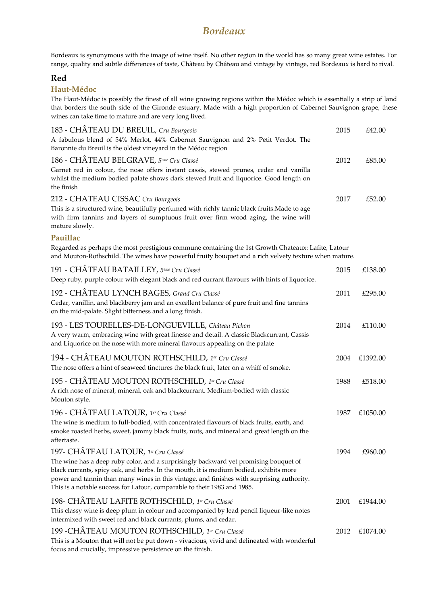### *Bordeaux*

Bordeaux is synonymous with the image of wine itself. No other region in the world has so many great wine estates. For range, quality and subtle differences of taste, Château by Château and vintage by vintage, red Bordeaux is hard to rival.

#### **Red**

#### **Haut-Médoc**

The Haut-Médoc is possibly the finest of all wine growing regions within the Médoc which is essentially a strip of land that borders the south side of the Gironde estuary. Made with a high proportion of Cabernet Sauvignon grape, these wines can take time to mature and are very long lived.

| 183 - CHÂTEAU DU BREUIL, Cru Bourgeois<br>A fabulous blend of 54% Merlot, 44% Cabernet Sauvignon and 2% Petit Verdot. The<br>Baronnie du Breuil is the oldest vineyard in the Médoc region                                                                                                                                                                                                     | 2015 | £42.00   |
|------------------------------------------------------------------------------------------------------------------------------------------------------------------------------------------------------------------------------------------------------------------------------------------------------------------------------------------------------------------------------------------------|------|----------|
| 186 - CHÂTEAU BELGRAVE, 5eme Cru Classé<br>Garnet red in colour, the nose offers instant cassis, stewed prunes, cedar and vanilla<br>whilst the medium bodied palate shows dark stewed fruit and liquorice. Good length on<br>the finish                                                                                                                                                       | 2012 | £85.00   |
| 212 - CHATEAU CISSAC Cru Bourgeois<br>This is a structured wine, beautifully perfumed with richly tannic black fruits. Made to age<br>with firm tannins and layers of sumptuous fruit over firm wood aging, the wine will<br>mature slowly.                                                                                                                                                    | 2017 | £52.00   |
| Pauillac<br>Regarded as perhaps the most prestigious commune containing the 1st Growth Chateaux: Lafite, Latour<br>and Mouton-Rothschild. The wines have powerful fruity bouquet and a rich velvety texture when mature.                                                                                                                                                                       |      |          |
| 191 - CHÂTEAU BATAILLEY, 5ème Cru Classé<br>Deep ruby, purple colour with elegant black and red currant flavours with hints of liquorice.                                                                                                                                                                                                                                                      | 2015 | £138.00  |
| 192 - CHÂTEAU LYNCH BAGES, Grand Cru Classé<br>Cedar, vanillin, and blackberry jam and an excellent balance of pure fruit and fine tannins<br>on the mid-palate. Slight bitterness and a long finish.                                                                                                                                                                                          | 2011 | £295.00  |
| 193 - LES TOURELLES-DE-LONGUEVILLE, Château Pichon<br>A very warm, embracing wine with great finesse and detail. A classic Blackcurrant, Cassis<br>and Liquorice on the nose with more mineral flavours appealing on the palate                                                                                                                                                                | 2014 | £110.00  |
| 194 - CHÂTEAU MOUTON ROTHSCHILD, 1er Cru Classé<br>The nose offers a hint of seaweed tinctures the black fruit, later on a whiff of smoke.                                                                                                                                                                                                                                                     | 2004 | £1392.00 |
| 195 - CHÂTEAU MOUTON ROTHSCHILD, 1er Cru Classé<br>A rich nose of mineral, mineral, oak and blackcurrant. Medium-bodied with classic<br>Mouton style.                                                                                                                                                                                                                                          | 1988 | £518.00  |
| 196 - CHÂTEAU LATOUR, 1er Cru Classé<br>The wine is medium to full-bodied, with concentrated flavours of black fruits, earth, and<br>smoke roasted herbs, sweet, jammy black fruits, nuts, and mineral and great length on the<br>aftertaste.                                                                                                                                                  | 1987 | £1050.00 |
| 197- CHATEAU LATOUR, 1er Cru Classé<br>The wine has a deep ruby color, and a surprisingly backward yet promising bouquet of<br>black currants, spicy oak, and herbs. In the mouth, it is medium bodied, exhibits more<br>power and tannin than many wines in this vintage, and finishes with surprising authority.<br>This is a notable success for Latour, comparable to their 1983 and 1985. | 1994 | £960.00  |
| 198- CHÂTEAU LAFITE ROTHSCHILD, 1er Cru Classé<br>This classy wine is deep plum in colour and accompanied by lead pencil liqueur-like notes<br>intermixed with sweet red and black currants, plums, and cedar.                                                                                                                                                                                 | 2001 | £1944.00 |
| 199 - CHÂTEAU MOUTON ROTHSCHILD, 1er Cru Classé<br>This is a Mouton that will not be put down - vivacious, vivid and delineated with wonderful<br>focus and crucially, impressive persistence on the finish.                                                                                                                                                                                   | 2012 | £1074.00 |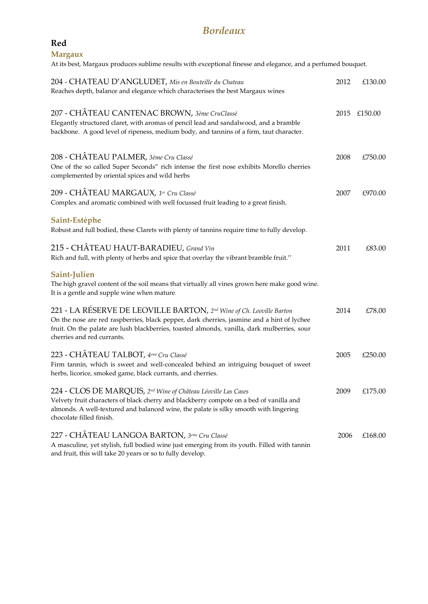# *Bordeaux*

### **Red**

### **Margaux**

At its best, Margaux produces sublime results with exceptional finesse and elegance, and a perfumed bouquet.

| 204 - CHATEAU D'ANGLUDET, Mis en Bouteille du Chateau<br>Reaches depth, balance and elegance which characterises the best Margaux wines                                                                                                                                                         | 2012 | £130.00 |
|-------------------------------------------------------------------------------------------------------------------------------------------------------------------------------------------------------------------------------------------------------------------------------------------------|------|---------|
| 207 - CHÂTEAU CANTENAC BROWN, 3ème CruClassé<br>Elegantly structured claret, with aromas of pencil lead and sandalwood, and a bramble<br>backbone. A good level of ripeness, medium body, and tannins of a firm, taut character.                                                                | 2015 | £150.00 |
| 208 - CHÂTEAU PALMER, 3ème Cru Classé<br>One of the so called Super Seconds" rich intense the first nose exhibits Morello cherries<br>complemented by oriental spices and wild herbs                                                                                                            | 2008 | £750.00 |
| 209 - CHÂTEAU MARGAUX, 1er Cru Classé<br>Complex and aromatic combined with well focussed fruit leading to a great finish.                                                                                                                                                                      | 2007 | £970.00 |
| Saint-Estèphe<br>Robust and full bodied, these Clarets with plenty of tannins require time to fully develop.                                                                                                                                                                                    |      |         |
| 215 - CHÂTEAU HAUT-BARADIEU, Grand Vin<br>Rich and full, with plenty of herbs and spice that overlay the vibrant bramble fruit."                                                                                                                                                                | 2011 | £83.00  |
| Saint-Julien<br>The high gravel content of the soil means that virtually all vines grown here make good wine.<br>It is a gentle and supple wine when mature.                                                                                                                                    |      |         |
| 221 - LA RÉSERVE DE LEOVILLE BARTON, 2nd Wine of Ch. Leoville Barton<br>On the nose are red raspberries, black pepper, dark cherries, jasmine and a hint of lychee<br>fruit. On the palate are lush blackberries, toasted almonds, vanilla, dark mulberries, sour<br>cherries and red currants. | 2014 | £78.00  |
| 223 - CHÂTEAU TALBOT, 4eme Cru Classé<br>Firm tannin, which is sweet and well-concealed behind an intriguing bouquet of sweet<br>herbs, licorice, smoked game, black currants, and cherries.                                                                                                    | 2005 | £250.00 |
| 224 - CLOS DE MARQUIS, 2nd Wine of Château Léoville Las Cases<br>Velvety fruit characters of black cherry and blackberry compote on a bed of vanilla and<br>almonds. A well-textured and balanced wine, the palate is silky smooth with lingering<br>chocolate filled finish.                   | 2009 | £175.00 |
| 227 - CHÂTEAU LANGOA BARTON, 3eme Cru Classé<br>A masculine, yet stylish, full bodied wine just emerging from its youth. Filled with tannin<br>and fruit, this will take 20 years or so to fully develop.                                                                                       | 2006 | £168.00 |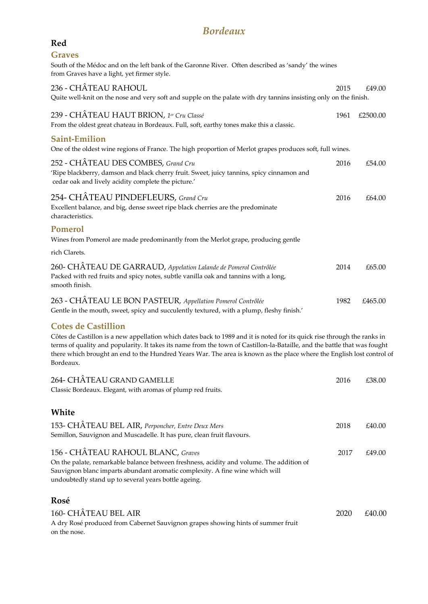### *Bordeaux*

### **Red**

| <b>Graves</b><br>South of the Médoc and on the left bank of the Garonne River. Often described as 'sandy' the wines<br>from Graves have a light, yet firmer style.                      |      |          |
|-----------------------------------------------------------------------------------------------------------------------------------------------------------------------------------------|------|----------|
| 236 - CHÂTEAU RAHOUL<br>Quite well-knit on the nose and very soft and supple on the palate with dry tannins insisting only on the finish.                                               | 2015 | £49.00   |
| 239 - CHÂTEAU HAUT BRION, 1er Cru Classé<br>From the oldest great chateau in Bordeaux. Full, soft, earthy tones make this a classic.                                                    | 1961 | £2500.00 |
| Saint-Emilion<br>One of the oldest wine regions of France. The high proportion of Merlot grapes produces soft, full wines.                                                              |      |          |
| 252 - CHÂTEAU DES COMBES, Grand Cru<br>'Ripe blackberry, damson and black cherry fruit. Sweet, juicy tannins, spicy cinnamon and<br>cedar oak and lively acidity complete the picture.' | 2016 | £54.00   |
| 254- CHÂTEAU PINDEFLEURS, Grand Cru<br>Excellent balance, and big, dense sweet ripe black cherries are the predominate<br>characteristics.                                              | 2016 | £64.00   |
| Pomerol<br>Wines from Pomerol are made predominantly from the Merlot grape, producing gentle                                                                                            |      |          |
| rich Clarets.                                                                                                                                                                           |      |          |
| 260- CHÂTEAU DE GARRAUD, Appelation Lalande de Pomerol Contrôlée<br>Packed with red fruits and spicy notes, subtle vanilla oak and tannins with a long,<br>smooth finish.               | 2014 | £65.00   |
| 263 - CHÂTEAU LE BON PASTEUR, Appellation Pomerol Contrôlée<br>Gentle in the mouth, sweet, spicy and succulently textured, with a plump, fleshy finish.'                                | 1982 | £465.00  |
| Cotos de Castillian                                                                                                                                                                     |      |          |

#### **Cotes de Castillion**

Côtes de Castillon is a new appellation which dates back to 1989 and it is noted for its quick rise through the ranks in terms of quality and popularity. It takes its name from the town of Castillon-la-Bataille, and the battle that was fought there which brought an end to the Hundred Years War. The area is known as the place where the English lost control of Bordeaux.

| 264- CHÂTEAU GRAND GAMELLE                                                               | 2016 | £38.00 |
|------------------------------------------------------------------------------------------|------|--------|
| Classic Bordeaux. Elegant, with aromas of plump red fruits.                              |      |        |
| White                                                                                    |      |        |
| 153- CHÂTEAU BEL AIR, Perponcher, Entre Deux Mers                                        | 2018 | £40.00 |
| Semillon, Sauvignon and Muscadelle. It has pure, clean fruit flavours.                   |      |        |
| 156 - CHÂTEAU RAHOUL BLANC, Graves                                                       | 2017 | £49.00 |
| On the palate, remarkable balance between freshness, acidity and volume. The addition of |      |        |
| Sauvignon blanc imparts abundant aromatic complexity. A fine wine which will             |      |        |
| undoubtedly stand up to several years bottle ageing.                                     |      |        |
| Rosé                                                                                     |      |        |
| <b>160- CHÂTEAU BEL AIR</b>                                                              | 2020 | £40.00 |
| A dry Rosé produced from Cabernet Sauvignon grapes showing hints of summer fruit         |      |        |
| on the nose.                                                                             |      |        |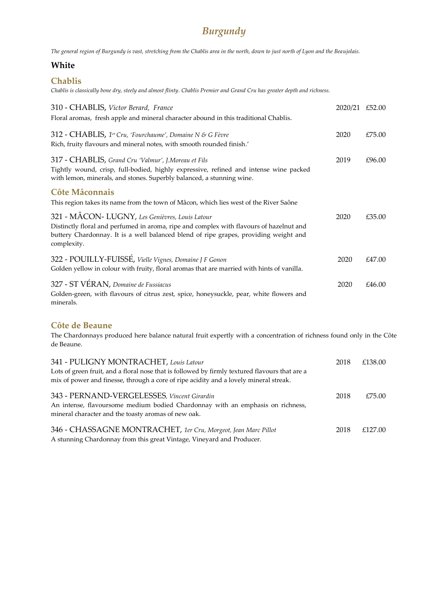# *Burgundy*

*The general region of Burgundy is vast, stretching from the Chablis area in the north, down to just north of Lyon and the Beaujolais.* 

#### **White**

#### **Chablis**

*Chablis is classically bone dry, steely and almost flinty. Chablis Premier and Grand Cru has greater depth and richness.* 

| 310 - CHABLIS, Victor Berard, France                                                                                                                                                                                                              | 2020/21 £52.00 |        |
|---------------------------------------------------------------------------------------------------------------------------------------------------------------------------------------------------------------------------------------------------|----------------|--------|
| Floral aromas, fresh apple and mineral character abound in this traditional Chablis.                                                                                                                                                              |                |        |
| 312 - CHABLIS, 1er Cru, 'Fourchaume', Domaine N & G Fèvre<br>Rich, fruity flavours and mineral notes, with smooth rounded finish.'                                                                                                                | 2020           | £75.00 |
| 317 - CHABLIS, Grand Cru 'Valmur', J.Moreau et Fils<br>Tightly wound, crisp, full-bodied, highly expressive, refined and intense wine packed<br>with lemon, minerals, and stones. Superbly balanced, a stunning wine.                             | 2019           | £96.00 |
| Côte Mâconnais<br>This region takes its name from the town of Mâcon, which lies west of the River Saône                                                                                                                                           |                |        |
| 321 - MÂCON- LUGNY, Les Genièvres, Louis Latour<br>Distinctly floral and perfumed in aroma, ripe and complex with flavours of hazelnut and<br>buttery Chardonnay. It is a well balanced blend of ripe grapes, providing weight and<br>complexity. | 2020           | £35.00 |
| 322 - POUILLY-FUISSÉ, Vielle Vignes, Domaine J F Gonon<br>Golden yellow in colour with fruity, floral aromas that are married with hints of vanilla.                                                                                              | 2020           | £47.00 |
| 327 - ST VÉRAN, Domaine de Fussiacus<br>Golden-green, with flavours of citrus zest, spice, honeysuckle, pear, white flowers and<br>minerals.                                                                                                      | 2020           | £46.00 |

#### **Côte de Beaune**

The Chardonnays produced here balance natural fruit expertly with a concentration of richness found only in the Côte de Beaune.

| 341 - PULIGNY MONTRACHET, Louis Latour                                                                                                                                                  | 2018 | £138.00 |
|-----------------------------------------------------------------------------------------------------------------------------------------------------------------------------------------|------|---------|
| Lots of green fruit, and a floral nose that is followed by firmly textured flavours that are a<br>mix of power and finesse, through a core of ripe acidity and a lovely mineral streak. |      |         |
|                                                                                                                                                                                         |      |         |
| 343 - PERNAND-VERGELESSES, Vincent Girardin<br>An intense, flavoursome medium bodied Chardonnay with an emphasis on richness,                                                           | 2018 | £75.00  |
| mineral character and the toasty aromas of new oak.                                                                                                                                     |      |         |
| 346 - CHASSAGNE MONTRACHET, 1er Cru, Morgeot, Jean Marc Pillot                                                                                                                          | 2018 | £127.00 |
| A stunning Chardonnay from this great Vintage, Vineyard and Producer.                                                                                                                   |      |         |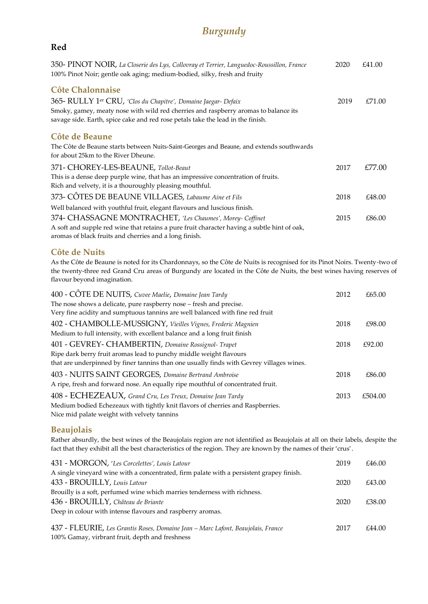### *Burgundy*

#### **Red**

| 2020 | £41.00 |
|------|--------|
|      |        |
| 2019 | £71.00 |
|      |        |
|      |        |
|      |        |
|      | £77.00 |
|      |        |
| 2018 | £48.00 |
|      |        |
| 2015 | £86.00 |
|      |        |
|      | 2017   |

#### **Côte de Nuits**

As the Côte de Beaune is noted for its Chardonnays, so the Côte de Nuits is recognised for its Pinot Noirs. Twenty-two of the twenty-three red Grand Cru areas of Burgundy are located in the Côte de Nuits, the best wines having reserves of flavour beyond imagination.

| 400 - CÔTE DE NUITS, Cuvee Maelie, Domaine Jean Tardy                                    | 2012 | £65.00  |
|------------------------------------------------------------------------------------------|------|---------|
| The nose shows a delicate, pure raspberry nose - fresh and precise.                      |      |         |
| Very fine acidity and sumptuous tannins are well balanced with fine red fruit            |      |         |
| 402 - CHAMBOLLE-MUSSIGNY, Vieilles Vignes, Frederic Magnien                              | 2018 | £98.00  |
| Medium to full intensity, with excellent balance and a long fruit finish                 |      |         |
| 401 - GEVREY- CHAMBERTIN, Domaine Rossignol- Trapet                                      | 2018 | £92.00  |
| Ripe dark berry fruit aromas lead to punchy middle weight flavours                       |      |         |
| that are underpinned by finer tannins than one usually finds with Gevrey villages wines. |      |         |
| 403 - NUITS SAINT GEORGES, Domaine Bertrand Ambroise                                     | 2018 | £86.00  |
| A ripe, fresh and forward nose. An equally ripe mouthful of concentrated fruit.          |      |         |
| 408 - ECHEZEAUX, Grand Cru, Les Treux, Domaine Jean Tardy                                | 2013 | £504.00 |
| Medium bodied Echezeaux with tightly knit flavors of cherries and Raspberries.           |      |         |
| Nice mid palate weight with velvety tannins                                              |      |         |

#### **Beaujolais**

Rather absurdly, the best wines of the Beaujolais region are not identified as Beaujolais at all on their labels, despite the fact that they exhibit all the best characteristics of the region. They are known by the names of their 'crus'.

| 431 - MORGON, 'Les Corcelettes', Louis Latour                                            | 2019 | £46.00 |
|------------------------------------------------------------------------------------------|------|--------|
| A single vineyard wine with a concentrated, firm palate with a persistent grapey finish. |      |        |
| 433 - BROUILLY, Louis Latour                                                             | 2020 | £43.00 |
| Brouilly is a soft, perfumed wine which marries tenderness with richness.                |      |        |
| 436 - BROUILLY, Château de Briante                                                       | 2020 | £38.00 |
| Deep in colour with intense flavours and raspberry aromas.                               |      |        |
| 437 - FLEURIE, Les Grantis Roses, Domaine Jean – Marc Lafont, Beaujolais, France         | 2017 | £44.00 |
|                                                                                          |      |        |
| 100% Gamay, virbrant fruit, depth and freshness                                          |      |        |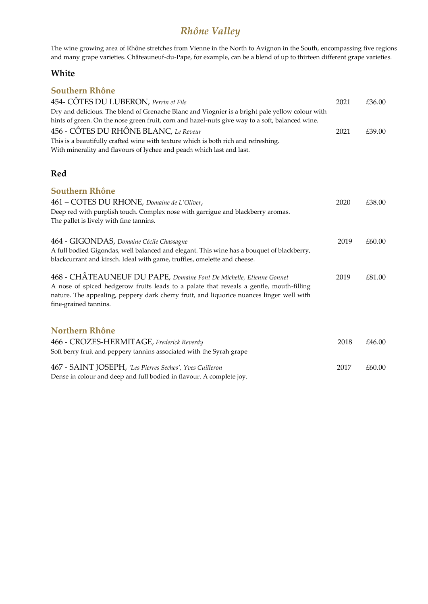# *Rhône Valley*

The wine growing area of Rhône stretches from Vienne in the North to Avignon in the South, encompassing five regions and many grape varieties. Châteauneuf-du-Pape, for example, can be a blend of up to thirteen different grape varieties.

| Southern Rhône                                                                                                                                                                                                                                                                      |      |        |
|-------------------------------------------------------------------------------------------------------------------------------------------------------------------------------------------------------------------------------------------------------------------------------------|------|--------|
| 454- CÔTES DU LUBERON, Perrin et Fils                                                                                                                                                                                                                                               | 2021 | £36.00 |
| Dry and delicious. The blend of Grenache Blanc and Viognier is a bright pale yellow colour with<br>hints of green. On the nose green fruit, corn and hazel-nuts give way to a soft, balanced wine.                                                                                  |      |        |
| 456 - CÔTES DU RHÔNE BLANC, Le Reveur                                                                                                                                                                                                                                               | 2021 | £39.00 |
| This is a beautifully crafted wine with texture which is both rich and refreshing.<br>With minerality and flavours of lychee and peach which last and last.                                                                                                                         |      |        |
| <b>Red</b>                                                                                                                                                                                                                                                                          |      |        |
| Southern Rhône                                                                                                                                                                                                                                                                      |      |        |
| 461 - COTES DU RHONE, Domaine de L'Oliver,                                                                                                                                                                                                                                          | 2020 | £38.00 |
| Deep red with purplish touch. Complex nose with garrigue and blackberry aromas.<br>The pallet is lively with fine tannins.                                                                                                                                                          |      |        |
| 464 - GIGONDAS, Domaine Cécile Chassagne                                                                                                                                                                                                                                            | 2019 | £60.00 |
| A full bodied Gigondas, well balanced and elegant. This wine has a bouquet of blackberry,<br>blackcurrant and kirsch. Ideal with game, truffles, omelette and cheese.                                                                                                               |      |        |
| 468 - CHÂTEAUNEUF DU PAPE, Domaine Font De Michelle, Etienne Gonnet<br>A nose of spiced hedgerow fruits leads to a palate that reveals a gentle, mouth-filling<br>nature. The appealing, peppery dark cherry fruit, and liquorice nuances linger well with<br>fine-grained tannins. | 2019 | £81.00 |
| Northern Rhône                                                                                                                                                                                                                                                                      |      |        |
| 466 - CROZES-HERMITAGE, Frederick Reverdy                                                                                                                                                                                                                                           | 2018 | £46.00 |
| Soft berry fruit and peppery tannins associated with the Syrah grape                                                                                                                                                                                                                |      |        |
| 467 - SAINT JOSEPH, 'Les Pierres Seches', Yves Cuilleron                                                                                                                                                                                                                            | 2017 | £60.00 |
| Dense in colour and deep and full bodied in flavour. A complete joy.                                                                                                                                                                                                                |      |        |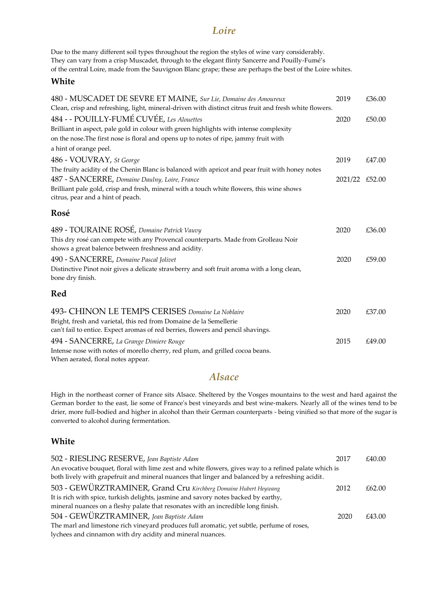### *Loire*

Due to the many different soil types throughout the region the styles of wine vary considerably. They can vary from a crisp Muscadet, through to the elegant flinty Sancerre and Pouilly-Fumé's of the central Loire, made from the Sauvignon Blanc grape; these are perhaps the best of the Loire whites.

#### **White**

| 480 - MUSCADET DE SEVRE ET MAINE, Sur Lie, Domaine des Amoureux                                                                            | 2019           | £36.00 |
|--------------------------------------------------------------------------------------------------------------------------------------------|----------------|--------|
| Clean, crisp and refreshing, light, mineral-driven with distinct citrus fruit and fresh white flowers.                                     |                |        |
| 484 - - POUILLY-FUMÉ CUVÉE, Les Alouettes                                                                                                  | 2020           | £50.00 |
| Brilliant in aspect, pale gold in colour with green highlights with intense complexity                                                     |                |        |
| on the nose. The first nose is floral and opens up to notes of ripe, jammy fruit with                                                      |                |        |
| a hint of orange peel.                                                                                                                     |                |        |
| 486 - VOUVRAY, St George                                                                                                                   | 2019           | £47.00 |
| The fruity acidity of the Chenin Blanc is balanced with apricot and pear fruit with honey notes                                            |                |        |
| 487 - SANCERRE, Domaine Daulny, Loire, France                                                                                              | 2021/22 £52.00 |        |
| Brilliant pale gold, crisp and fresh, mineral with a touch white flowers, this wine shows<br>citrus, pear and a hint of peach.             |                |        |
| Rosé                                                                                                                                       |                |        |
| 489 - TOURAINE ROSÉ, Domaine Patrick Vauvy                                                                                                 | 2020           | £36.00 |
| This dry rosé can compete with any Provencal counterparts. Made from Grolleau Noir<br>shows a great balence between freshness and acidity. |                |        |
| 490 - SANCERRE, Domaine Pascal Jolivet                                                                                                     | 2020           | £59.00 |
| Distinctive Pinot noir gives a delicate strawberry and soft fruit aroma with a long clean,<br>bone dry finish.                             |                |        |
| Red                                                                                                                                        |                |        |
| 493- CHINON LE TEMPS CERISES Domaine La Noblaire                                                                                           | 2020           | £37.00 |
| Bright, fresh and varietal, this red from Domaine de la Semellerie                                                                         |                |        |
| can't fail to entice. Expect aromas of red berries, flowers and pencil shavings.                                                           |                |        |
| 494 - SANCERRE, La Grange Dimiere Rouge                                                                                                    | 2015           | £49.00 |
| Intense nose with notes of morello cherry, red plum, and grilled cocoa beans.                                                              |                |        |
| When aerated, floral notes appear.                                                                                                         |                |        |

### *Alsace*

High in the northeast corner of France sits Alsace. Sheltered by the Vosges mountains to the west and hard against the German border to the east, lie some of France's best vineyards and best wine-makers. Nearly all of the wines tend to be drier, more full-bodied and higher in alcohol than their German counterparts - being vinified so that more of the sugar is converted to alcohol during fermentation.

| 502 - RIESLING RESERVE, Jean Baptiste Adam                                                            | 2017 | £40.00 |
|-------------------------------------------------------------------------------------------------------|------|--------|
| An evocative bouquet, floral with lime zest and white flowers, gives way to a refined palate which is |      |        |
| both lively with grapefruit and mineral nuances that linger and balanced by a refreshing acidit.      |      |        |
| 503 - GEWÜRZTRAMINER, Grand Cru Kirchberg Domaine Hubert Heywang                                      | 2012 | £62.00 |
| It is rich with spice, turkish delights, jasmine and savory notes backed by earthy,                   |      |        |
| mineral nuances on a fleshy palate that resonates with an incredible long finish.                     |      |        |
| 504 - GEWÜRZTRAMINER, Jean Baptiste Adam                                                              | 2020 | £43.00 |
| The marl and limestone rich vineyard produces full aromatic, yet subtle, perfume of roses,            |      |        |
| lychees and cinnamon with dry acidity and mineral nuances.                                            |      |        |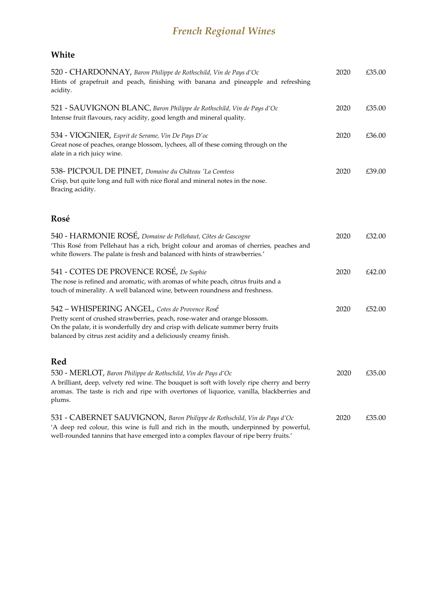# *French Regional Wines*

| 520 - CHARDONNAY, Baron Philippe de Rothschild, Vin de Pays d'Oc<br>Hints of grapefruit and peach, finishing with banana and pineapple and refreshing<br>acidity.                                                                                                                     | 2020 | £35.00 |
|---------------------------------------------------------------------------------------------------------------------------------------------------------------------------------------------------------------------------------------------------------------------------------------|------|--------|
| 521 - SAUVIGNON BLANC, Baron Philippe de Rothschild, Vin de Pays d'Oc<br>Intense fruit flavours, racy acidity, good length and mineral quality.                                                                                                                                       | 2020 | £35.00 |
| 534 - VIOGNIER, Esprit de Serame, Vin De Pays D'oc<br>Great nose of peaches, orange blossom, lychees, all of these coming through on the<br>alate in a rich juicy wine.                                                                                                               | 2020 | £36.00 |
| 538 - PICPOUL DE PINET, Domaine du Château 'La Comtess<br>Crisp, but quite long and full with nice floral and mineral notes in the nose.<br>Bracing acidity.                                                                                                                          | 2020 | £39.00 |
| Rosé                                                                                                                                                                                                                                                                                  |      |        |
| 540 - HARMONIE ROSÉ, Domaine de Pellehaut, Côtes de Gascogne<br>'This Rosé from Pellehaut has a rich, bright colour and aromas of cherries, peaches and<br>white flowers. The palate is fresh and balanced with hints of strawberries.'                                               | 2020 | £32.00 |
| 541 - COTES DE PROVENCE ROSÉ, De Sophie<br>The nose is refined and aromatic, with aromas of white peach, citrus fruits and a<br>touch of minerality. A well balanced wine, between roundness and freshness.                                                                           | 2020 | £42.00 |
| 542 – WHISPERING ANGEL, Cotes de Provence Rosé<br>Pretty scent of crushed strawberries, peach, rose-water and orange blossom.<br>On the palate, it is wonderfully dry and crisp with delicate summer berry fruits<br>balanced by citrus zest acidity and a deliciously creamy finish. | 2020 | £52.00 |
| Red                                                                                                                                                                                                                                                                                   |      |        |
| 530 - MERLOT, Baron Philippe de Rothschild, Vin de Pays d'Oc<br>A brilliant, deep, velvety red wine. The bouquet is soft with lovely ripe cherry and berry<br>aromas. The taste is rich and ripe with overtones of liquorice, vanilla, blackberries and<br>plums.                     | 2020 | £35.00 |
| 531 - CABERNET SAUVIGNON, Baron Philippe de Rothschild, Vin de Pays d'Oc<br>'A deep red colour, this wine is full and rich in the mouth, underpinned by powerful,<br>well-rounded tannins that have emerged into a complex flavour of ripe berry fruits.'                             | 2020 | £35.00 |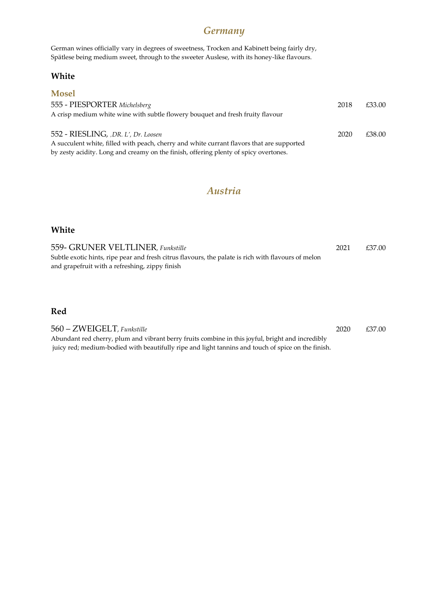### *Germany*

German wines officially vary in degrees of sweetness, Trocken and Kabinett being fairly dry, Spätlese being medium sweet, through to the sweeter Auslese, with its honey-like flavours.

### **White**

| <b>Mosel</b>                                                                              |      |        |
|-------------------------------------------------------------------------------------------|------|--------|
| 555 - PIESPORTER Michelsberg                                                              | 2018 | £33.00 |
| A crisp medium white wine with subtle flowery bouquet and fresh fruity flavour            |      |        |
|                                                                                           |      |        |
| 552 - RIESLING, ,DR. L', Dr. Loosen                                                       | 2020 | £38.00 |
| A succulent white, filled with peach, cherry and white currant flavors that are supported |      |        |
| by zesty acidity. Long and creamy on the finish, offering plenty of spicy overtones.      |      |        |

### *Austria*

### **White**

| 559- GRUNER VELTLINER, Funkstille                                                                   | 2021 | £37.00 |
|-----------------------------------------------------------------------------------------------------|------|--------|
| Subtle exotic hints, ripe pear and fresh citrus flavours, the palate is rich with flavours of melon |      |        |
| and grapefruit with a refreshing, zippy finish                                                      |      |        |

#### **Red**

560 – ZWEIGELT, *Funkstille* 2020 £37.00 Abundant red cherry, plum and vibrant berry fruits combine in this joyful, bright and incredibly juicy red; medium-bodied with beautifully ripe and light tannins and touch of spice on the finish.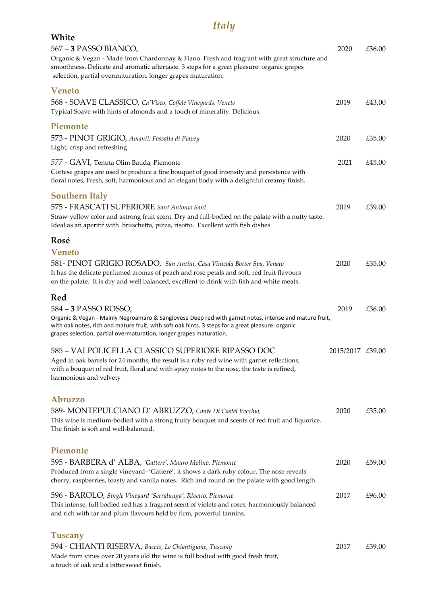# *Italy*

| White                                                                                                                                                                                                                                                                                                             |                  |        |
|-------------------------------------------------------------------------------------------------------------------------------------------------------------------------------------------------------------------------------------------------------------------------------------------------------------------|------------------|--------|
| 567 - 3 PASSO BIANCO,<br>Organic & Vegan - Made from Chardonnay & Fiano. Fresh and fragrant with great structure and<br>smoothness. Delicate and aromatic aftertaste. 3 steps for a great pleasure: organic grapes<br>selection, partial overmaturation, longer grapes maturation.                                | 2020             | £36.00 |
| <b>Veneto</b><br>568 - SOAVE CLASSICO, Ca'Visco, Coffele Vineyards, Veneto<br>Typical Soave with hints of almonds and a touch of minerality. Delicious.                                                                                                                                                           | 2019             | £43.00 |
| Piemonte<br>573 - PINOT GRIGIO, Amanti, Fossalta di Piavey<br>Light, crisp and refreshing                                                                                                                                                                                                                         | 2020             | £35.00 |
| 577 - GAVI, Tenuta Olim Bauda, Piemonte<br>Cortese grapes are used to produce a fine bouquet of good intensity and persistence with<br>floral notes, Fresh, soft, harmonious and an elegant body with a delightful creamy finish.                                                                                 | 2021             | £45.00 |
| <b>Southern Italy</b><br>575 - FRASCATI SUPERIORE Sant Antonio Sant<br>Straw-yellow color and astrong fruit scent. Dry and full-bodied on the palate with a nutty taste.<br>Ideal as an aperitif with bruschetta, pizza, risotto. Excellent with fish dishes.                                                     | 2019             | £39.00 |
| Rosé<br><b>Veneto</b><br>581- PINOT GRIGIO ROSADO, San Antini, Casa Vinicola Botter Spa, Veneto<br>It has the delicate perfumed aromas of peach and rose petals and soft, red fruit flavours<br>on the palate. It is dry and well balanced, excellent to drink with fish and white meats.                         | 2020             | £35.00 |
| Red<br>584 – 3 PASSO ROSSO,<br>Organic & Vegan - Mainly Negroamaro & Sangiovese Deep red with garnet notes, intense and mature fruit,<br>with oak notes, rich and mature fruit, with soft oak hints. 3 steps for a great pleasure: organic<br>grapes selection, partial overmaturation, longer grapes maturation. | 2019             | £36.00 |
| 585 - VALPOLICELLA CLASSICO SUPERIORE RIPASSO DOC<br>Aged in oak barrels for 24 months, the result is a ruby red wine with garnet reflections,<br>with a bouquet of red fruit, floral and with spicy notes to the nose, the taste is refined,<br>harmonious and velvety                                           | 2015/2017 £39.00 |        |
| <b>Abruzzo</b><br>589- MONTEPULCIANO D' ABRUZZO, Conte Di Castel Vecchio,<br>This wine is medium-bodied with a strong fruity bouquet and scents of red fruit and liquorice.<br>The finish is soft and well-balanced.                                                                                              | 2020             | £35.00 |
| Piemonte<br>595 - BARBERA d' ALBA, 'Gattere', Mauro Molino, Piemonte<br>Produced from a single vineyard-'Gattere', it shows a dark ruby colour. The nose reveals<br>cherry, raspberries, toasty and vanilla notes. Rich and round on the palate with good length.                                                 | 2020             | £59.00 |
| 596 - BAROLO, Single Vineyard 'Serralunga', Rivetto, Piemonte<br>This intense, full bodied red has a fragrant scent of violets and roses, harmoniously balanced<br>and rich with tar and plum flavours held by firm, powerful tannins.                                                                            | 2017             | £96.00 |
| <b>Tuscany</b><br>594 - CHIANTI RISERVA, Baccio, Le Chiantigiane, Tuscany<br>Made from vines over 20 years old the wine is full bodied with good fresh fruit,<br>a touch of oak and a bittersweet finish.                                                                                                         | 2017             | £39.00 |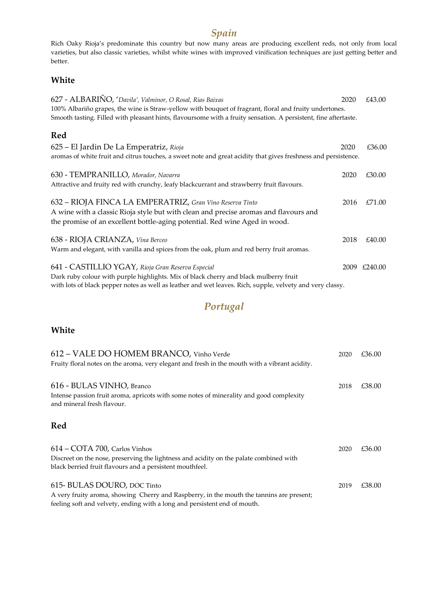### *Spain*

Rich Oaky Rioja's predominate this country but now many areas are producing excellent reds, not only from local varieties, but also classic varieties, whilst white wines with improved vinification techniques are just getting better and better.

### **White**

| 627 - ALBARINO, 'Davila', Valminor, O Rosal, Rias Baixas                                                                                                                                                                                                | 2020 | £43.00       |
|---------------------------------------------------------------------------------------------------------------------------------------------------------------------------------------------------------------------------------------------------------|------|--------------|
| 100% Albariño grapes, the wine is Straw-yellow with bouquet of fragrant, floral and fruity undertones.<br>Smooth tasting. Filled with pleasant hints, flavoursome with a fruity sensation. A persistent, fine aftertaste.                               |      |              |
| Red                                                                                                                                                                                                                                                     |      |              |
| 625 – El Jardin De La Emperatriz, Rioja<br>aromas of white fruit and citrus touches, a sweet note and great acidity that gives freshness and persistence.                                                                                               | 2020 | £36.00       |
| 630 - TEMPRANILLO, Morador, Navarra<br>Attractive and fruity red with crunchy, leafy blackcurrant and strawberry fruit flavours.                                                                                                                        | 2020 | £30.00       |
| 632 - RIOJA FINCA LA EMPERATRIZ, Gran Vino Reserva Tinto<br>A wine with a classic Rioja style but with clean and precise aromas and flavours and<br>the promise of an excellent bottle-aging potential. Red wine Aged in wood.                          | 2016 | £71.00       |
| 638 - RIOJA CRIANZA, Vina Berceo<br>Warm and elegant, with vanilla and spices from the oak, plum and red berry fruit aromas.                                                                                                                            | 2018 | £40.00       |
| 641 - CASTILLIO YGAY, Rioja Gran Reserva Especial<br>Dark ruby colour with purple highlights. Mix of black cherry and black mulberry fruit<br>with lots of black pepper notes as well as leather and wet leaves. Rich, supple, velvety and very classy. |      | 2009 £240.00 |

# *Portugal*

| 612 - VALE DO HOMEM BRANCO, Vinho Verde<br>Fruity floral notes on the aroma, very elegant and fresh in the mouth with a vibrant acidity.                                                             | 2020 | £36.00 |
|------------------------------------------------------------------------------------------------------------------------------------------------------------------------------------------------------|------|--------|
| 616 - BULAS VINHO, Branco<br>Intense passion fruit aroma, apricots with some notes of minerality and good complexity<br>and mineral fresh flavour.                                                   | 2018 | £38.00 |
| Red                                                                                                                                                                                                  |      |        |
| 614 - COTA 700, Carlos Vinhos<br>Discreet on the nose, preserving the lightness and acidity on the palate combined with<br>black berried fruit flavours and a persistent mouthfeel.                  | 2020 | £36.00 |
| 615- BULAS DOURO, DOC Tinto<br>A very fruity aroma, showing Cherry and Raspberry, in the mouth the tannins are present;<br>feeling soft and velvety, ending with a long and persistent end of mouth. | 2019 | £38.00 |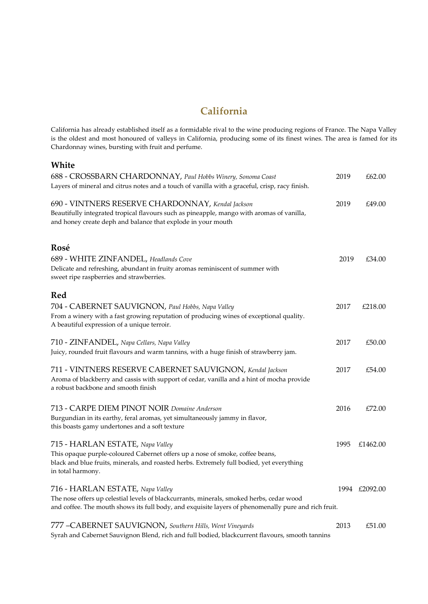### **California**

California has already established itself as a formidable rival to the wine producing regions of France. The Napa Valley is the oldest and most honoured of valleys in California, producing some of its finest wines. The area is famed for its Chardonnay wines, bursting with fruit and perfume.

**White**

### 688 - CROSSBARN CHARDONNAY, *Paul Hobbs Winery, Sonoma Coast* 2019 £62.00 Layers of mineral and citrus notes and a touch of vanilla with a graceful, crisp, racy finish. 690 - VINTNERS RESERVE CHARDONNAY, *Kendal Jackson* 2019 £49.00 Beautifully integrated tropical flavours such as pineapple, mango with aromas of vanilla, and honey create deph and balance that explode in your mouth **Rosé** 689 - WHITE ZINFANDEL, *Headlands Cove* 2019 £34.00 Delicate and refreshing, abundant in fruity aromas reminiscent of summer with sweet ripe raspberries and strawberries. **Red** 704 - CABERNET SAUVIGNON, *Paul Hobbs, Napa Valley* 2017 £218.00 From a winery with a fast growing reputation of producing wines of exceptional quality. A beautiful expression of a unique terroir. 710 - ZINFANDEL, *Napa Cellars, Napa Valley* 2017 £50.00 Juicy, rounded fruit flavours and warm tannins, with a huge finish of strawberry jam. 711 - VINTNERS RESERVE CABERNET SAUVIGNON, *Kendal Jackson* 2017 £54.00 Aroma of blackberry and cassis with support of cedar, vanilla and a hint of mocha provide a robust backbone and smooth finish 713 - CARPE DIEM PINOT NOIR *Domaine Anderson* 2016 £72.00 Burgundian in its earthy, feral aromas, yet simultaneously jammy in flavor, this boasts gamy undertones and a soft texture 715 - HARLAN ESTATE, *Napa Valley* 1995 £1462.00 This opaque purple-coloured Cabernet offers up a nose of smoke, coffee beans, black and blue fruits, minerals, and roasted herbs. Extremely full bodied, yet everything in total harmony. 716 - HARLAN ESTATE, *Napa Valley* 1994 £2092.00 The nose offers up celestial levels of blackcurrants, minerals, smoked herbs, cedar wood and coffee. The mouth shows its full body, and exquisite layers of phenomenally pure and rich fruit. 777 –CABERNET SAUVIGNON, *Southern Hills, Went Vineyards* 2013 £51.00

Syrah and Cabernet Sauvignon Blend, rich and full bodied, blackcurrent flavours, smooth tannins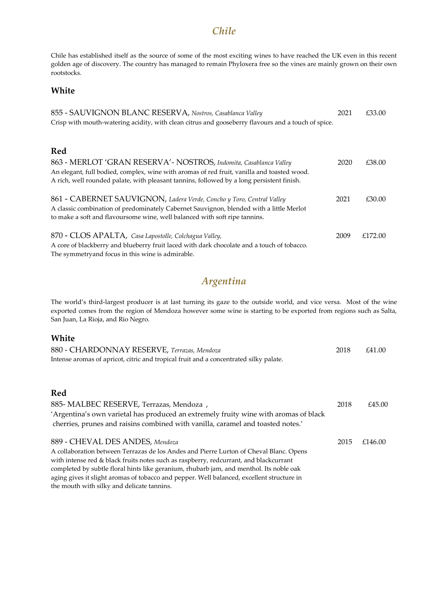### *Chile*

Chile has established itself as the source of some of the most exciting wines to have reached the UK even in this recent golden age of discovery. The country has managed to remain Phyloxera free so the vines are mainly grown on their own rootstocks.

### **White**

| 855 - SAUVIGNON BLANC RESERVA, Nostros, Casablanca Valley                                          | 2021 | £33.00  |
|----------------------------------------------------------------------------------------------------|------|---------|
| Crisp with mouth-watering acidity, with clean citrus and gooseberry flavours and a touch of spice. |      |         |
|                                                                                                    |      |         |
| Red                                                                                                |      |         |
| 863 - MERLOT 'GRAN RESERVA' - NOSTROS, Indomita, Casablanca Valley                                 | 2020 | £38.00  |
| An elegant, full bodied, complex, wine with aromas of red fruit, vanilla and toasted wood.         |      |         |
| A rich, well rounded palate, with pleasant tannins, followed by a long persistent finish.          |      |         |
| 861 - CABERNET SAUVIGNON, Ladera Verde, Concho y Toro, Central Valley                              | 2021 | £30.00  |
| A classic combination of predominately Cabernet Sauvignon, blended with a little Merlot            |      |         |
| to make a soft and flavoursome wine, well balanced with soft ripe tannins.                         |      |         |
| 870 - CLOS APALTA, Casa Lapostolle, Colchagua Valley,                                              | 2009 | £172.00 |
| A core of blackberry and blueberry fruit laced with dark chocolate and a touch of tobacco.         |      |         |
| The symmetry and focus in this wine is admirable.                                                  |      |         |

# *Argentina*

The world's third-largest producer is at last turning its gaze to the outside world, and vice versa. Most of the wine exported comes from the region of Mendoza however some wine is starting to be exported from regions such as Salta, San Juan, La Rioja, and Rio Negro.

| 880 - CHARDONNAY RESERVE, Terrazas, Mendoza                                               | 2018 | £41.00  |
|-------------------------------------------------------------------------------------------|------|---------|
| Intense aromas of apricot, citric and tropical fruit and a concentrated silky palate.     |      |         |
|                                                                                           |      |         |
| Red                                                                                       |      |         |
| 885- MALBEC RESERVE, Terrazas, Mendoza,                                                   | 2018 | £45.00  |
| 'Argentina's own varietal has produced an extremely fruity wine with aromas of black      |      |         |
| cherries, prunes and raisins combined with vanilla, caramel and toasted notes.'           |      |         |
| 889 - CHEVAL DES ANDES, Mendoza                                                           | 2015 | £146.00 |
| A collaboration between Terrazas de los Andes and Pierre Lurton of Cheval Blanc. Opens    |      |         |
| with intense red & black fruits notes such as raspberry, redcurrant, and blackcurrant     |      |         |
| completed by subtle floral hints like geranium, rhubarb jam, and menthol. Its noble oak   |      |         |
| aging gives it slight aromas of tobacco and pepper. Well balanced, excellent structure in |      |         |
| the mouth with silky and delicate tannins.                                                |      |         |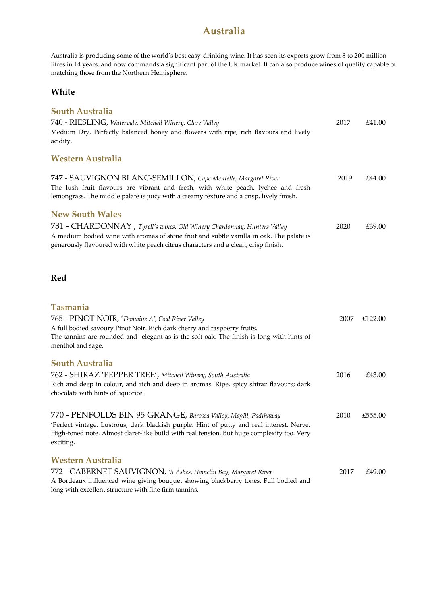### **Australia**

Australia is producing some of the world's best easy-drinking wine. It has seen its exports grow from 8 to 200 million litres in 14 years, and now commands a significant part of the UK market. It can also produce wines of quality capable of matching those from the Northern Hemisphere.

#### **White**

### **South Australia**  740 - RIESLING, *Watervale, Mitchell Winery, Clare Valley* 2017 £41.00 Medium Dry. Perfectly balanced honey and flowers with ripe, rich flavours and lively acidity. **Western Australia** 747 - SAUVIGNON BLANC-SEMILLON, *Cape Mentelle, Margaret River* 2019 £44.00 The lush fruit flavours are vibrant and fresh, with white peach, lychee and fresh lemongrass. The middle palate is juicy with a creamy texture and a crisp, lively finish. **New South Wales** 731 - CHARDONNAY , *Tyrell's wines, Old Winery Chardonnay, Hunters Valley* 2020 £39.00 A medium bodied wine with aromas of stone fruit and subtle vanilla in oak. The palate is generously flavoured with white peach citrus characters and a clean, crisp finish.

#### **Red**

| <b>Tasmania</b><br>765 - PINOT NOIR, 'Domaine A', Coal River Valley<br>A full bodied savoury Pinot Noir. Rich dark cherry and raspberry fruits.<br>The tannins are rounded and elegant as is the soft oak. The finish is long with hints of<br>menthol and sage.        | 2007 | £122.00 |
|-------------------------------------------------------------------------------------------------------------------------------------------------------------------------------------------------------------------------------------------------------------------------|------|---------|
| South Australia<br>762 - SHIRAZ 'PEPPER TREE', Mitchell Winery, South Australia<br>Rich and deep in colour, and rich and deep in aromas. Ripe, spicy shiraz flavours; dark<br>chocolate with hints of liquorice.                                                        | 2016 | £43.00  |
| 770 - PENFOLDS BIN 95 GRANGE, Barossa Valley, Magill, Padthaway<br>'Perfect vintage. Lustrous, dark blackish purple. Hint of putty and real interest. Nerve.<br>High-toned note. Almost claret-like build with real tension. But huge complexity too. Very<br>exciting. | 2010 | £555.00 |
| <b>Western Australia</b><br>772 - CABERNET SAUVIGNON, '5 Ashes, Hamelin Bay, Margaret River<br>A Bordeaux influenced wine giving bouquet showing blackberry tones. Full bodied and<br>long with excellent structure with fine firm tannins.                             | 2017 | £49.00  |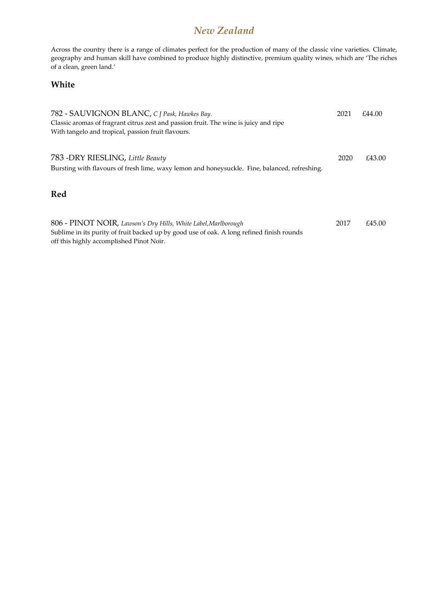### *New Zealand*

Across the country there is a range of climates perfect for the production of many of the classic vine varieties. Climate, geography and human skill have combined to produce highly distinctive, premium quality wines, which are 'The riches of a clean, green land.'

| 782 - SAUVIGNON BLANC, C J Pask, Hawkes Bay.<br>Classic aromas of fragrant citrus zest and passion fruit. The wine is juicy and ripe<br>With tangelo and tropical, passion fruit flavours.              | 2021 | £44.00 |
|---------------------------------------------------------------------------------------------------------------------------------------------------------------------------------------------------------|------|--------|
| 783 - DRY RIESLING, Little Beauty<br>Bursting with flavours of fresh lime, waxy lemon and honeysuckle. Fine, balanced, refreshing.                                                                      | 2020 | £43.00 |
| Red                                                                                                                                                                                                     |      |        |
| 806 - PINOT NOIR, Lawson's Dry Hills, White Label, Marlborough<br>Sublime in its purity of fruit backed up by good use of oak. A long refined finish rounds<br>off this highly accomplished Pinot Noir. | 2017 | £45.00 |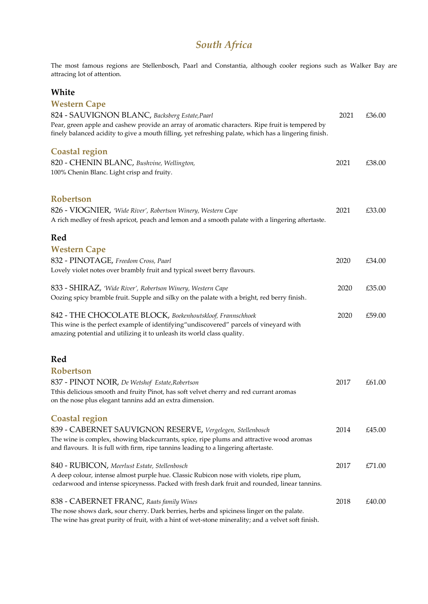# *South Africa*

The most famous regions are Stellenbosch, Paarl and Constantia, although cooler regions such as Walker Bay are attracing lot of attention.

| <b>Western Cape</b>                                                                                                                                                                                                                                        |      |        |
|------------------------------------------------------------------------------------------------------------------------------------------------------------------------------------------------------------------------------------------------------------|------|--------|
| 824 - SAUVIGNON BLANC, Backsberg Estate, Paarl<br>Pear, green apple and cashew provide an array of aromatic characters. Ripe fruit is tempered by<br>finely balanced acidity to give a mouth filling, yet refreshing palate, which has a lingering finish. | 2021 | £36.00 |
| <b>Coastal region</b>                                                                                                                                                                                                                                      |      |        |
| 820 - CHENIN BLANC, Bushvine, Wellington,<br>100% Chenin Blanc. Light crisp and fruity.                                                                                                                                                                    | 2021 | £38.00 |
| Robertson                                                                                                                                                                                                                                                  |      |        |
| 826 - VIOGNIER, 'Wide River', Robertson Winery, Western Cape<br>A rich medley of fresh apricot, peach and lemon and a smooth palate with a lingering aftertaste.                                                                                           | 2021 | £33.00 |
| Red                                                                                                                                                                                                                                                        |      |        |
| <b>Western Cape</b>                                                                                                                                                                                                                                        |      |        |
| 832 - PINOTAGE, Freedom Cross, Paarl<br>Lovely violet notes over brambly fruit and typical sweet berry flavours.                                                                                                                                           | 2020 | £34.00 |
| 833 - SHIRAZ, 'Wide River', Robertson Winery, Western Cape<br>Oozing spicy bramble fruit. Supple and silky on the palate with a bright, red berry finish.                                                                                                  | 2020 | £35.00 |
| 842 - THE CHOCOLATE BLOCK, Boekenhoutskloof, Frannschhoek<br>This wine is the perfect example of identifying"undiscovered" parcels of vineyard with<br>amazing potential and utilizing it to unleash its world class quality.                              | 2020 | £59.00 |
| Red                                                                                                                                                                                                                                                        |      |        |
| Robertson                                                                                                                                                                                                                                                  |      |        |
| 837 - PINOT NOIR, De Wetshof Estate, Robertson<br>Tthis delicious smooth and fruity Pinot, has soft velvet cherry and red currant aromas<br>on the nose plus elegant tannins add an extra dimension.                                                       | 2017 | £61.00 |
| <b>Coastal region</b>                                                                                                                                                                                                                                      |      |        |
| 839 - CABERNET SAUVIGNON RESERVE, Vergelegen, Stellenbosch<br>The wine is complex, showing blackcurrants, spice, ripe plums and attractive wood aromas<br>and flavours. It is full with firm, ripe tannins leading to a lingering aftertaste.              | 2014 | £45.00 |
| 840 - RUBICON, Meerlust Estate, Stellenbosch<br>A deep colour, intense almost purple hue. Classic Rubicon nose with violets, ripe plum,<br>cedarwood and intense spiceynesss. Packed with fresh dark fruit and rounded, linear tannins.                    | 2017 | £71.00 |
| 838 - CABERNET FRANC, Raats family Wines<br>The nose shows dark, sour cherry. Dark berries, herbs and spiciness linger on the palate.<br>The wine has great purity of fruit, with a hint of wet-stone minerality; and a velvet soft finish.                | 2018 | £40.00 |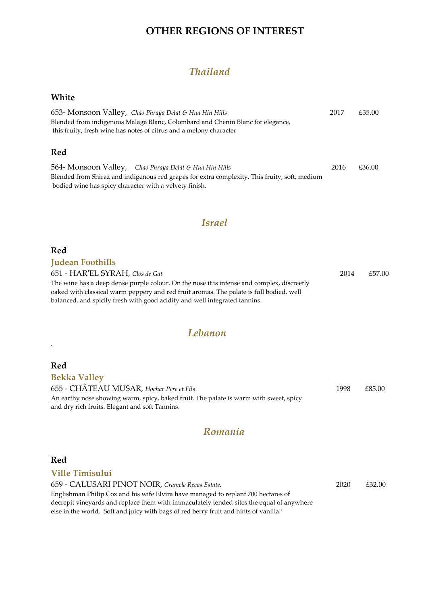### **OTHER REGIONS OF INTEREST**

### *Thailand*

#### **White**

| 653- Monsoon Valley, Chao Phraya Delat & Hua Hin Hills                                        | 2017 | £35.00 |
|-----------------------------------------------------------------------------------------------|------|--------|
| Blended from indigenous Malaga Blanc, Colombard and Chenin Blanc for elegance,                |      |        |
| this fruity, fresh wine has notes of citrus and a melony character                            |      |        |
|                                                                                               |      |        |
| Red                                                                                           |      |        |
| 564- Monsoon Valley, Chao Phraya Delat & Hua Hin Hills                                        | 2016 | £36.00 |
| Blended from Shiraz and indigenous red grapes for extra complexity. This fruity, soft, medium |      |        |
| bodied wine has spicy character with a velvety finish.                                        |      |        |

### *Israel*

### **Red**

**Judean Foothills**

| 651 - HAR'EL SYRAH, Clos de Gat                                                            | 2014 | £57.00 |
|--------------------------------------------------------------------------------------------|------|--------|
| The wine has a deep dense purple colour. On the nose it is intense and complex, discreetly |      |        |
| oaked with classical warm peppery and red fruit aromas. The palate is full bodied, well    |      |        |
| balanced, and spicily fresh with good acidity and well integrated tannins.                 |      |        |

### *Lebanon*

| Red                                                                                   |      |        |
|---------------------------------------------------------------------------------------|------|--------|
| <b>Bekka Valley</b>                                                                   |      |        |
| 655 - CHÂTEAU MUSAR, Hochar Pere et Fils                                              | 1998 | £85.00 |
| An earthy nose showing warm, spicy, baked fruit. The palate is warm with sweet, spicy |      |        |
| and dry rich fruits. Elegant and soft Tannins.                                        |      |        |

### *Romania*

#### **Red**

#### **Ville Timisului**

659 - CALUSARI PINOT NOIR, *Cramele Recas Estate.* 2020 £32.00 Englishman Philip Cox and his wife Elvira have managed to replant 700 hectares of decrepit vineyards and replace them with immaculately tended sites the equal of anywhere else in the world. Soft and juicy with bags of red berry fruit and hints of vanilla.'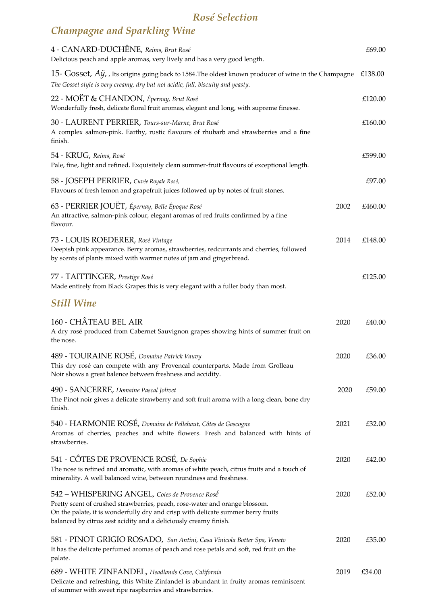# *Rosé Selection*

# *Champagne and Sparkling Wine*

| 4 - CANARD-DUCHÊNE, Reims, Brut Rosé<br>Delicious peach and apple aromas, very lively and has a very good length.                                                                                                                                                                             | £69.00  |
|-----------------------------------------------------------------------------------------------------------------------------------------------------------------------------------------------------------------------------------------------------------------------------------------------|---------|
| 15- Gosset, $A\ddot{y}$ , Its origins going back to 1584. The oldest known producer of wine in the Champagne<br>The Gosset style is very creamy, dry but not acidic, full, biscuity and yeasty.                                                                                               | £138.00 |
| 22 - MOËT & CHANDON, Épernay, Brut Rosé<br>Wonderfully fresh, delicate floral fruit aromas, elegant and long, with supreme finesse.                                                                                                                                                           | £120.00 |
| 30 - LAURENT PERRIER, Tours-sur-Marne, Brut Rosé<br>A complex salmon-pink. Earthy, rustic flavours of rhubarb and strawberries and a fine<br>finish.                                                                                                                                          | £160.00 |
| 54 - KRUG, Reims, Rosé<br>Pale, fine, light and refined. Exquisitely clean summer-fruit flavours of exceptional length.                                                                                                                                                                       | £599.00 |
| 58 - JOSEPH PERRIER, Cuvée Royale Rosé,<br>Flavours of fresh lemon and grapefruit juices followed up by notes of fruit stones.                                                                                                                                                                | £97.00  |
| 63 - PERRIER JOUËT, Épernay, Belle Époque Rosé<br>2002<br>An attractive, salmon-pink colour, elegant aromas of red fruits confirmed by a fine<br>flavour.                                                                                                                                     | £460.00 |
| 73 - LOUIS ROEDERER, Rosé Vintage<br>2014<br>Deepish pink appearance. Berry aromas, strawberries, redcurrants and cherries, followed<br>by scents of plants mixed with warmer notes of jam and gingerbread.                                                                                   | £148.00 |
| 77 - TAITTINGER, Prestige Rosé<br>Made entirely from Black Grapes this is very elegant with a fuller body than most.                                                                                                                                                                          | £125.00 |
| <b>Still Wine</b>                                                                                                                                                                                                                                                                             |         |
| 160 - CHÂTEAU BEL AIR<br>2020<br>A dry rosé produced from Cabernet Sauvignon grapes showing hints of summer fruit on<br>the nose.                                                                                                                                                             | £40.00  |
| 489 - TOURAINE ROSÉ, Domaine Patrick Vauvy<br>2020<br>This dry rosé can compete with any Provencal counterparts. Made from Grolleau<br>Noir shows a great balence between freshness and accidity.                                                                                             | £36.00  |
| 490 - SANCERRE, Domaine Pascal Jolivet<br>2020<br>The Pinot noir gives a delicate strawberry and soft fruit aroma with a long clean, bone dry<br>finish.                                                                                                                                      | £59.00  |
| 540 - HARMONIE ROSÉ, Domaine de Pellehaut, Côtes de Gascogne<br>2021<br>Aromas of cherries, peaches and white flowers. Fresh and balanced with hints of<br>strawberries.                                                                                                                      | £32.00  |
| 541 - CÔTES DE PROVENCE ROSÉ, De Sophie<br>2020<br>The nose is refined and aromatic, with aromas of white peach, citrus fruits and a touch of<br>minerality. A well balanced wine, between roundness and freshness.                                                                           | £42.00  |
| 542 – WHISPERING ANGEL, Cotes de Provence Rosé<br>2020<br>Pretty scent of crushed strawberries, peach, rose-water and orange blossom.<br>On the palate, it is wonderfully dry and crisp with delicate summer berry fruits<br>balanced by citrus zest acidity and a deliciously creamy finish. | £52.00  |
| 581 - PINOT GRIGIO ROSADO, San Antini, Casa Vinicola Botter Spa, Veneto<br>2020<br>It has the delicate perfumed aromas of peach and rose petals and soft, red fruit on the<br>palate.                                                                                                         | £35.00  |
| 689 - WHITE ZINFANDEL, Headlands Cove, California<br>2019<br>Delicate and refreshing, this White Zinfandel is abundant in fruity aromas reminiscent<br>of summer with sweet ripe raspberries and strawberries.                                                                                | £34.00  |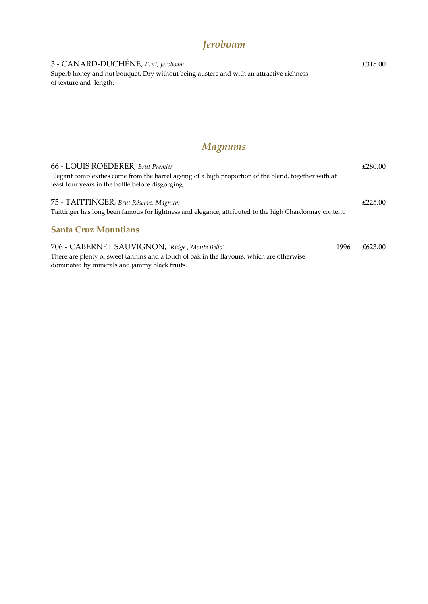# *Jeroboam*

3 - CANARD-DUCHÊNE, *Brut, Jeroboam* £315.00 Superb honey and nut bouquet. Dry without being austere and with an attractive richness of texture and length.

# *Magnums*

| 66 - LOUIS ROEDERER, Brut Premier                                                                      |      | £280.00 |
|--------------------------------------------------------------------------------------------------------|------|---------|
| Elegant complexities come from the barrel ageing of a high proportion of the blend, together with at   |      |         |
| least four years in the bottle before disgorging.                                                      |      |         |
| 75 - TAITTINGER, Brut Réserve, Magnum                                                                  |      | £225.00 |
|                                                                                                        |      |         |
| Taittinger has long been famous for lightness and elegance, attributed to the high Chardonnay content. |      |         |
| <b>Santa Cruz Mountians</b>                                                                            |      |         |
|                                                                                                        |      |         |
| 706 - CABERNET SAUVIGNON, 'Ridge ,'Monte Bello'                                                        | 1996 | £623.00 |
| There are plenty of sweet tannins and a touch of oak in the flavours, which are otherwise              |      |         |
| dominated by minerals and jammy black fruits.                                                          |      |         |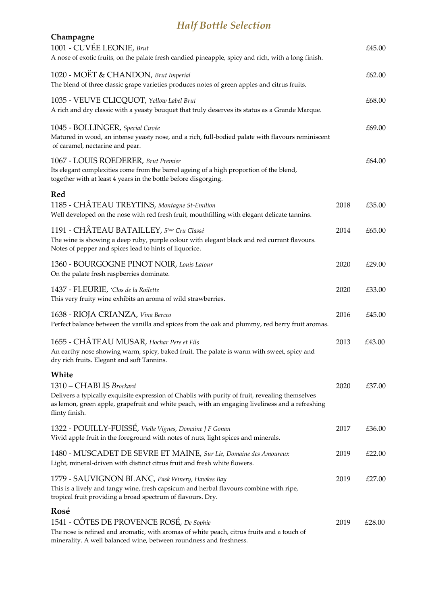# *Half Bottle Selection*

| Champagne<br>1001 - CUVÉE LEONIE, Brut<br>A nose of exotic fruits, on the palate fresh candied pineapple, spicy and rich, with a long finish.                                                                                                            |      | £45.00 |
|----------------------------------------------------------------------------------------------------------------------------------------------------------------------------------------------------------------------------------------------------------|------|--------|
| 1020 - MOËT & CHANDON, Brut Imperial<br>The blend of three classic grape varieties produces notes of green apples and citrus fruits.                                                                                                                     |      | £62.00 |
| 1035 - VEUVE CLICQUOT, Yellow Label Brut<br>A rich and dry classic with a yeasty bouquet that truly deserves its status as a Grande Marque.                                                                                                              |      | £68.00 |
| 1045 - BOLLINGER, Special Cuvée<br>Matured in wood, an intense yeasty nose, and a rich, full-bodied palate with flavours reminiscent<br>of caramel, nectarine and pear.                                                                                  |      | £69.00 |
| 1067 - LOUIS ROEDERER, Brut Premier<br>Its elegant complexities come from the barrel ageing of a high proportion of the blend,<br>together with at least 4 years in the bottle before disgorging.                                                        |      | £64.00 |
| Red<br>1185 - CHÂTEAU TREYTINS, Montagne St-Emilion<br>Well developed on the nose with red fresh fruit, mouthfilling with elegant delicate tannins.                                                                                                      | 2018 | £35.00 |
| 1191 - CHÂTEAU BATAILLEY, 5 <sup>ème</sup> Cru Classé<br>The wine is showing a deep ruby, purple colour with elegant black and red currant flavours.<br>Notes of pepper and spices lead to hints of liquorice.                                           | 2014 | £65.00 |
| 1360 - BOURGOGNE PINOT NOIR, Louis Latour<br>On the palate fresh raspberries dominate.                                                                                                                                                                   | 2020 | £29.00 |
| 1437 - FLEURIE, 'Clos de la Roilette<br>This very fruity wine exhibits an aroma of wild strawberries.                                                                                                                                                    | 2020 | £33.00 |
| 1638 - RIOJA CRIANZA, Vina Berceo<br>Perfect balance between the vanilla and spices from the oak and plummy, red berry fruit aromas.                                                                                                                     | 2016 | £45.00 |
| 1655 - CHÂTEAU MUSAR, Hochar Pere et Fils<br>An earthy nose showing warm, spicy, baked fruit. The palate is warm with sweet, spicy and<br>dry rich fruits. Elegant and soft Tannins.                                                                     | 2013 | £43.00 |
| White<br>1310 - CHABLIS Brockard<br>Delivers a typically exquisite expression of Chablis with purity of fruit, revealing themselves<br>as lemon, green apple, grapefruit and white peach, with an engaging liveliness and a refreshing<br>flinty finish. | 2020 | £37.00 |
| 1322 - POUILLY-FUISSÉ, Vielle Vignes, Domaine J F Gonan<br>Vivid apple fruit in the foreground with notes of nuts, light spices and minerals.                                                                                                            | 2017 | £36.00 |
| 1480 - MUSCADET DE SEVRE ET MAINE, Sur Lie, Domaine des Amoureux<br>Light, mineral-driven with distinct citrus fruit and fresh white flowers.                                                                                                            | 2019 | £22.00 |
| 1779 - SAUVIGNON BLANC, Pask Winery, Hawkes Bay<br>This is a lively and tangy wine, fresh capsicum and herbal flavours combine with ripe,<br>tropical fruit providing a broad spectrum of flavours. Dry.                                                 | 2019 | £27.00 |
| Rosé<br>1541 - CÔTES DE PROVENCE ROSÉ, De Sophie<br>The nose is refined and aromatic, with aromas of white peach, citrus fruits and a touch of<br>minerality. A well balanced wine, between roundness and freshness.                                     | 2019 | £28.00 |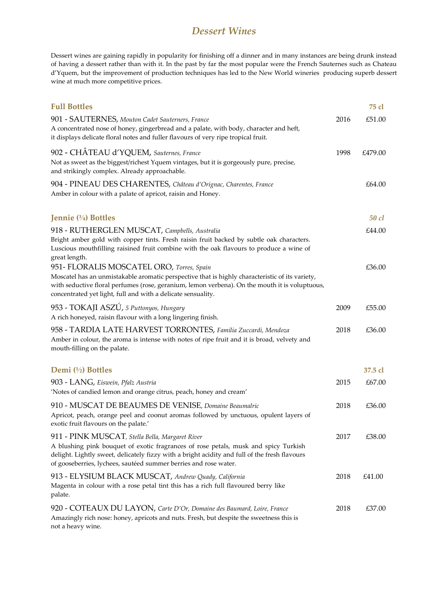### *Dessert Wines*

Dessert wines are gaining rapidly in popularity for finishing off a dinner and in many instances are being drunk instead of having a dessert rather than with it. In the past by far the most popular were the French Sauternes such as Chateau d'Yquem, but the improvement of production techniques has led to the New World wineries producing superb dessert wine at much more competitive prices.

| <b>Full Bottles</b>                                                                                                                                                                                                                                                                                            |      | 75 cl        |
|----------------------------------------------------------------------------------------------------------------------------------------------------------------------------------------------------------------------------------------------------------------------------------------------------------------|------|--------------|
| 901 - SAUTERNES, Mouton Cadet Sauterners, France<br>A concentrated nose of honey, gingerbread and a palate, with body, character and heft,<br>it displays delicate floral notes and fuller flavours of very ripe tropical fruit.                                                                               | 2016 | £51.00       |
| 902 - CHÂTEAU d'YQUEM, Sauternes, France<br>Not as sweet as the biggest/richest Yquem vintages, but it is gorgeously pure, precise,<br>and strikingly complex. Already approachable.                                                                                                                           | 1998 | £479.00      |
| 904 - PINEAU DES CHARENTES, Château d'Orignac, Charentes, France<br>Amber in colour with a palate of apricot, raisin and Honey.                                                                                                                                                                                |      | £64.00       |
| Jennie (3/4) Bottles                                                                                                                                                                                                                                                                                           |      | <b>50 cl</b> |
| 918 - RUTHERGLEN MUSCAT, Campbells, Australia<br>Bright amber gold with copper tints. Fresh raisin fruit backed by subtle oak characters.<br>Luscious mouthfilling raisined fruit combine with the oak flavours to produce a wine of<br>great length.                                                          |      | £44.00       |
| 951- FLORALIS MOSCATEL ORO, Torres, Spain<br>Moscatel has an unmistakable aromatic perspective that is highly characteristic of its variety,<br>with seductive floral perfumes (rose, geranium, lemon verbena). On the mouth it is voluptuous,<br>concentrated yet light, full and with a delicate sensuality. |      | £36.00       |
| 953 - TOKAJI ASZÚ, 5 Puttonyos, Hungary<br>A rich honeyed, raisin flavour with a long lingering finish.                                                                                                                                                                                                        | 2009 | £55.00       |
| 958 - TARDIA LATE HARVEST TORRONTES, Familia Zuccardi, Mendoza<br>Amber in colour, the aroma is intense with notes of ripe fruit and it is broad, velvety and<br>mouth-filling on the palate.                                                                                                                  | 2018 | £36.00       |
| Demi $(\frac{1}{2})$ Bottles                                                                                                                                                                                                                                                                                   |      | 37.5 cl      |
| 903 - LANG, Eiswein, Pfalz Austria<br>'Notes of candied lemon and orange citrus, peach, honey and cream'                                                                                                                                                                                                       | 2015 | £67.00       |
| 910 - MUSCAT DE BEAUMES DE VENISE, Domaine Beaumalric<br>Apricot, peach, orange peel and coonut aromas followed by unctuous, opulent layers of<br>exotic fruit flavours on the palate.                                                                                                                         | 2018 | £36.00       |
| 911 - PINK MUSCAT, Stella Bella, Margaret River<br>A blushing pink bouquet of exotic fragrances of rose petals, musk and spicy Turkish<br>delight. Lightly sweet, delicately fizzy with a bright acidity and full of the fresh flavours<br>of gooseberries, lychees, sautéed summer berries and rose water.    | 2017 | £38.00       |
| 913 - ELYSIUM BLACK MUSCAT, Andrew Quady, California<br>Magenta in colour with a rose petal tint this has a rich full flavoured berry like<br>palate.                                                                                                                                                          | 2018 | £41.00       |
| 920 - COTEAUX DU LAYON, Carte D'Or, Domaine des Baumard, Loire, France<br>Amazingly rich nose: honey, apricots and nuts. Fresh, but despite the sweetness this is<br>not a heavy wine.                                                                                                                         | 2018 | £37.00       |